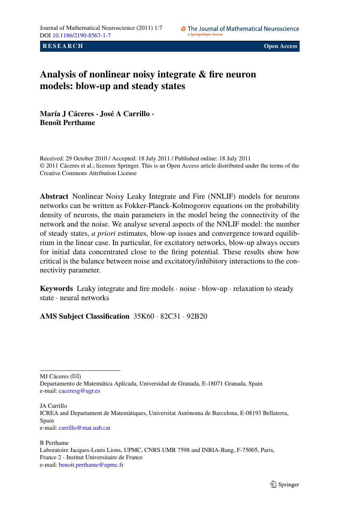**RESEARCH CONSUMING A RESEARCH CONSUMING A RESEARCH CONSUMING A RESEARCH** 

# **Analysis of nonlinear noisy integrate & fire neuron models: blow-up and steady states**

**María J Cáceres · José A Carrillo · Benoît Perthame**

Received: 29 October 2010 / Accepted: 18 July 2011 / Published online: 18 July 2011 © 2011 Cáceres et al.; licensee Springer. This is an Open Access article distributed under the terms of the Creative Commons Attribution License

**Abstract** Nonlinear Noisy Leaky Integrate and Fire (NNLIF) models for neurons networks can be written as Fokker-Planck-Kolmogorov equations on the probability density of neurons, the main parameters in the model being the connectivity of the network and the noise. We analyse several aspects of the NNLIF model: the number of steady states, *a priori* estimates, blow-up issues and convergence toward equilibrium in the linear case. In particular, for excitatory networks, blow-up always occurs for initial data concentrated close to the firing potential. These results show how critical is the balance between noise and excitatory/inhibitory interactions to the connectivity parameter.

**Keywords** Leaky integrate and fire models · noise · blow-up · relaxation to steady state · neural networks

**AMS Subject Classification** 35K60 · 82C31 · 92B20

MJ Cáceres  $(\boxtimes)$ 

JA Carrillo

e-mail: [carrillo@mat.uab.cat](mailto:carrillo@mat.uab.cat)

Departamento de Matemática Aplicada, Universidad de Granada, E-18071 Granada, Spain e-mail: [caceresg@ugr.es](mailto:caceresg@ugr.es)

ICREA and Departament de Matemàtiques, Universitat Autònoma de Barcelona, E-08193 Bellaterra, Spain

B Perthame Laboratoire Jacques-Louis Lions, UPMC, CNRS UMR 7598 and INRIA-Bang, F-75005, Paris, France 2 - Institut Universitaire de France e-mail: [benoit.perthame@upmc.fr](mailto:benoit.perthame@upmc.fr)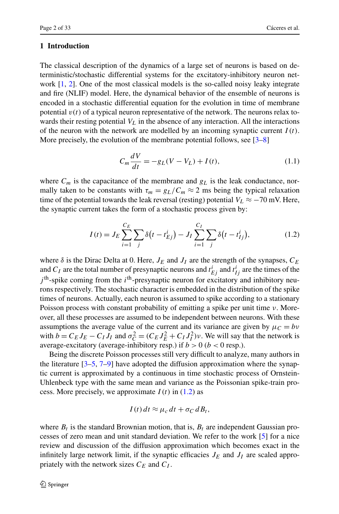# **1 Introduction**

The classical description of the dynamics of a large set of neurons is based on deterministic/stochastic differential systems for the excitatory-inhibitory neuron network [[1,](#page-30-0) [2](#page-30-1)]. One of the most classical models is the so-called noisy leaky integrate and fire (NLIF) model. Here, the dynamical behavior of the ensemble of neurons is encoded in a stochastic differential equation for the evolution in time of membrane potential  $v(t)$  of a typical neuron representative of the network. The neurons relax towards their resting potential  $V<sub>L</sub>$  in the absence of any interaction. All the interactions of the neuron with the network are modelled by an incoming synaptic current  $I(t)$ . More precisely, the evolution of the membrane potential follows, see  $[3–8]$  $[3–8]$  $[3–8]$ 

<span id="page-1-1"></span><span id="page-1-0"></span>
$$
C_m \frac{dV}{dt} = -g_L(V - V_L) + I(t),
$$
\n(1.1)

where  $C_m$  is the capacitance of the membrane and  $g_L$  is the leak conductance, normally taken to be constants with  $\tau_m = g_L/C_m \approx 2$  ms being the typical relaxation time of the potential towards the leak reversal (resting) potential  $V_L \approx -70$  mV. Here, the synaptic current takes the form of a stochastic process given by:

$$
I(t) = J_E \sum_{i=1}^{C_E} \sum_j \delta(t - t_{Ej}^i) - J_I \sum_{i=1}^{C_I} \sum_j \delta(t - t_{Ij}^i),
$$
 (1.2)

where  $\delta$  is the Dirac Delta at 0. Here,  $J_E$  and  $J_I$  are the strength of the synapses,  $C_E$ and  $C_I$  are the total number of presynaptic neurons and  $t_{Ej}^i$  and  $t_{Ij}^i$  are the times of the  $j<sup>th</sup>$ -spike coming from the  $i<sup>th</sup>$ -presynaptic neuron for excitatory and inhibitory neurons respectively. The stochastic character is embedded in the distribution of the spike times of neurons. Actually, each neuron is assumed to spike according to a stationary Poisson process with constant probability of emitting a spike per unit time *ν*. Moreover, all these processes are assumed to be independent between neurons. With these assumptions the average value of the current and its variance are given by  $\mu_C = bv$ with  $b = C_E J_E - C_I J_I$  and  $\sigma_C^2 = (C_E J_E^2 + C_I J_I^2) v$ . We will say that the network is average-excitatory (average-inhibitory resp.) if  $b > 0$  ( $b < 0$  resp.).

Being the discrete Poisson processes still very difficult to analyze, many authors in the literature  $[3-5, 7-9]$  $[3-5, 7-9]$  $[3-5, 7-9]$  $[3-5, 7-9]$  have adopted the diffusion approximation where the synaptic current is approximated by a continuous in time stochastic process of Ornstein-Uhlenbeck type with the same mean and variance as the Poissonian spike-train process. More precisely, we approximate  $I(t)$  in  $(1.2)$  as

$$
I(t) dt \approx \mu_c dt + \sigma_C dB_t,
$$

where  $B_t$  is the standard Brownian motion, that is,  $B_t$  are independent Gaussian processes of zero mean and unit standard deviation. We refer to the work [\[5](#page-31-1)] for a nice review and discussion of the diffusion approximation which becomes exact in the infinitely large network limit, if the synaptic efficacies  $J_E$  and  $J_I$  are scaled appropriately with the network sizes  $C_F$  and  $C_I$ .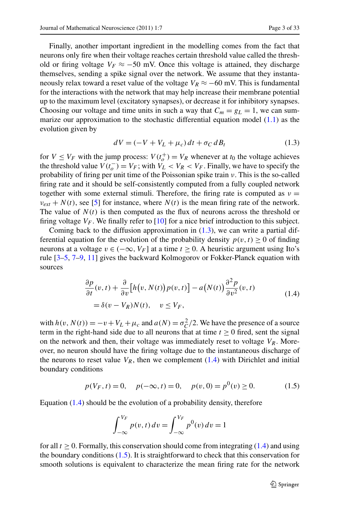Finally, another important ingredient in the modelling comes from the fact that neurons only fire when their voltage reaches certain threshold value called the threshold or firing voltage  $V_F \approx -50$  mV. Once this voltage is attained, they discharge themselves, sending a spike signal over the network. We assume that they instantaneously relax toward a reset value of the voltage  $V_R \approx -60$  mV. This is fundamental for the interactions with the network that may help increase their membrane potential up to the maximum level (excitatory synapses), or decrease it for inhibitory synapses. Choosing our voltage and time units in such a way that  $C_m = g_L = 1$ , we can summarize our approximation to the stochastic differential equation model  $(1.1)$  $(1.1)$  $(1.1)$  as the evolution given by

<span id="page-2-1"></span><span id="page-2-0"></span>
$$
dV = (-V + VL + \muc) dt + \sigma_C dB_t
$$
\n(1.3)

for  $V \leq V_F$  with the jump process:  $V(t_o^+) = V_R$  whenever at  $t_0$  the voltage achieves the threshold value  $V(t_o^-) = V_F$ ; with  $V_L < V_R < V_F$ . Finally, we have to specify the probability of firing per unit time of the Poissonian spike train *ν*. This is the so-called firing rate and it should be self-consistently computed from a fully coupled network together with some external stimuli. Therefore, the firing rate is computed as  $v =$  $v_{ext} + N(t)$ , see [[5\]](#page-31-1) for instance, where  $N(t)$  is the mean firing rate of the network. The value of  $N(t)$  is then computed as the flux of neurons across the threshold or firing voltage  $V_F$ . We finally refer to [[10\]](#page-31-4) for a nice brief introduction to this subject.

Coming back to the diffusion approximation in  $(1.3)$ , we can write a partial differential equation for the evolution of the probability density  $p(v, t) > 0$  of finding neurons at a voltage  $v \in (-\infty, V_F]$  at a time  $t \ge 0$ . A heuristic argument using Ito's rule [\[3](#page-30-2)[–5](#page-31-1), [7](#page-31-2)[–9](#page-31-3), [11](#page-31-5)] gives the backward Kolmogorov or Fokker-Planck equation with sources

<span id="page-2-2"></span>
$$
\frac{\partial p}{\partial t}(v, t) + \frac{\partial}{\partial v} \Big[ h(v, N(t)) p(v, t) \Big] - a(N(t)) \frac{\partial^2 p}{\partial v^2}(v, t)
$$
\n
$$
= \delta(v - V_R) N(t), \quad v \le V_F,
$$
\n(1.4)

with  $h(v, N(t)) = -v + V_L + \mu_c$  and  $a(N) = \sigma_C^2/2$ . We have the presence of a source term in the right-hand side due to all neurons that at time  $t \geq 0$  fired, sent the signal on the network and then, their voltage was immediately reset to voltage  $V_R$ . Moreover, no neuron should have the firing voltage due to the instantaneous discharge of the neurons to reset value  $V_R$ , then we complement  $(1.4)$  $(1.4)$  $(1.4)$  with Dirichlet and initial boundary conditions

$$
p(V_F, t) = 0
$$
,  $p(-\infty, t) = 0$ ,  $p(v, 0) = p^0(v) \ge 0$ . (1.5)

Equation  $(1.4)$  $(1.4)$  $(1.4)$  should be the evolution of a probability density, therefore

$$
\int_{-\infty}^{V_F} p(v, t) dv = \int_{-\infty}^{V_F} p^0(v) dv = 1
$$

for all  $t \ge 0$ . Formally, this conservation should come from integrating ([1.4](#page-2-1)) and using the boundary conditions  $(1.5)$ . It is straightforward to check that this conservation for smooth solutions is equivalent to characterize the mean firing rate for the network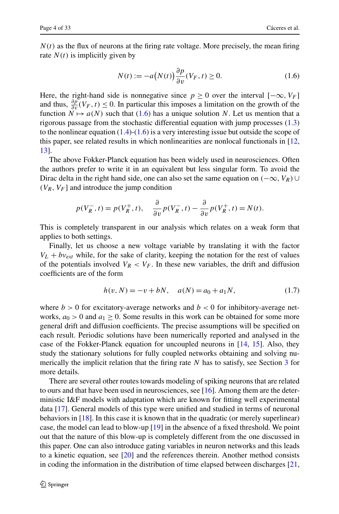$N(t)$  as the flux of neurons at the firing rate voltage. More precisely, the mean firing rate  $N(t)$  is implicitly given by

<span id="page-3-0"></span>
$$
N(t) := -a(N(t))\frac{\partial p}{\partial v}(V_F, t) \ge 0.
$$
\n(1.6)

Here, the right-hand side is nonnegative since  $p \ge 0$  over the interval  $[-\infty, V_F]$ and thus,  $\frac{\partial p}{\partial v}(V_F, t) \leq 0$ . In particular this imposes a limitation on the growth of the function  $N \mapsto a(N)$  such that ([1.6](#page-3-0)) has a unique solution N. Let us mention that a rigorous passage from the stochastic differential equation with jump processes ([1.3](#page-2-0)) to the nonlinear equation  $(1.4)-(1.6)$  $(1.4)-(1.6)$  $(1.4)-(1.6)$  is a very interesting issue but outside the scope of this paper, see related results in which nonlinearities are nonlocal functionals in [\[12](#page-31-6), [13\]](#page-31-7).

The above Fokker-Planck equation has been widely used in neurosciences. Often the authors prefer to write it in an equivalent but less singular form. To avoid the Dirac delta in the right hand side, one can also set the same equation on  $(-\infty, V_R)$  ∪  $(V_R, V_F]$  and introduce the jump condition

$$
p(V_R^-, t) = p(V_R^+, t), \quad \frac{\partial}{\partial v} p(V_R^-, t) - \frac{\partial}{\partial v} p(V_R^+, t) = N(t).
$$

This is completely transparent in our analysis which relates on a weak form that applies to both settings.

Finally, let us choose a new voltage variable by translating it with the factor  $V_L + bv_{ext}$  while, for the sake of clarity, keeping the notation for the rest of values of the potentials involved  $V_R < V_F$ . In these new variables, the drift and diffusion coefficients are of the form

<span id="page-3-1"></span>
$$
h(v, N) = -v + bN, \quad a(N) = a_0 + a_1N,\tag{1.7}
$$

where  $b > 0$  for excitatory-average networks and  $b < 0$  for inhibitory-average networks,  $a_0 > 0$  and  $a_1 \ge 0$ . Some results in this work can be obtained for some more general drift and diffusion coefficients. The precise assumptions will be specified on each result. Periodic solutions have been numerically reported and analysed in the case of the Fokker-Planck equation for uncoupled neurons in [[14,](#page-31-8) [15](#page-31-9)]. Also, they study the stationary solutions for fully coupled networks obtaining and solving numerically the implicit relation that the firing rate *N* has to satisfy, see Section [3](#page-10-0) for more details.

There are several other routes towards modeling of spiking neurons that are related to ours and that have been used in neurosciences, see [[16\]](#page-31-10). Among them are the deterministic I&F models with adaptation which are known for fitting well experimental data [\[17](#page-31-11)]. General models of this type were unified and studied in terms of neuronal behaviors in [[18\]](#page-31-12). In this case it is known that in the quadratic (or merely superlinear) case, the model can lead to blow-up [\[19](#page-31-13)] in the absence of a fixed threshold. We point out that the nature of this blow-up is completely different from the one discussed in this paper. One can also introduce gating variables in neuron networks and this leads to a kinetic equation, see [\[20](#page-31-14)] and the references therein. Another method consists in coding the information in the distribution of time elapsed between discharges [\[21](#page-31-15),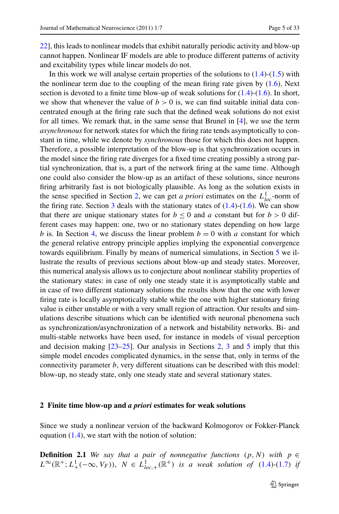[22\]](#page-31-16), this leads to nonlinear models that exhibit naturally periodic activity and blow-up cannot happen. Nonlinear IF models are able to produce different patterns of activity and excitability types while linear models do not.

In this work we will analyse certain properties of the solutions to  $(1.4)-(1.5)$  $(1.4)-(1.5)$  $(1.4)-(1.5)$  with the nonlinear term due to the coupling of the mean firing rate given by ([1.6](#page-3-0)). Next section is devoted to a finite time blow-up of weak solutions for  $(1.4)-(1.6)$  $(1.4)-(1.6)$  $(1.4)-(1.6)$ . In short, we show that whenever the value of  $b > 0$  is, we can find suitable initial data concentrated enough at the firing rate such that the defined weak solutions do not exist for all times. We remark that, in the same sense that Brunel in [\[4](#page-30-3)], we use the term *asynchronous* for network states for which the firing rate tends asymptotically to constant in time, while we denote by *synchronous* those for which this does not happen. Therefore, a possible interpretation of the blow-up is that synchronization occurs in the model since the firing rate diverges for a fixed time creating possibly a strong partial synchronization, that is, a part of the network firing at the same time. Although one could also consider the blow-up as an artifact of these solutions, since neurons firing arbitrarily fast is not biologically plausible. As long as the solution exists in the sense specified in Section [2,](#page-4-0) we can get *a priori* estimates on the  $L_{loc}^1$ -norm of the firing rate. Section [3](#page-10-0) deals with the stationary states of  $(1.4)-(1.6)$  $(1.4)-(1.6)$  $(1.4)-(1.6)$  $(1.4)-(1.6)$ . We can show that there are unique stationary states for  $b \le 0$  and *a* constant but for  $b > 0$  different cases may happen: one, two or no stationary states depending on how large *b* is. In Section [4](#page-19-0), we discuss the linear problem  $b = 0$  with *a* constant for which the general relative entropy principle applies implying the exponential convergence towards equilibrium. Finally by means of numerical simulations, in Section [5](#page-23-0) we illustrate the results of previous sections about blow-up and steady states. Moreover, this numerical analysis allows us to conjecture about nonlinear stability properties of the stationary states: in case of only one steady state it is asymptotically stable and in case of two different stationary solutions the results show that the one with lower firing rate is locally asymptotically stable while the one with higher stationary firing value is either unstable or with a very small region of attraction. Our results and simulations describe situations which can be identified with neuronal phenomena such as synchronization/asynchronization of a network and bistability networks. Bi- and multi-stable networks have been used, for instance in models of visual perception and decision making  $[23-25]$  $[23-25]$ . Our analysis in Sections [2,](#page-4-0) [3](#page-10-0) and [5](#page-23-0) imply that this simple model encodes complicated dynamics, in the sense that, only in terms of the connectivity parameter *b*, very different situations can be described with this model: blow-up, no steady state, only one steady state and several stationary states.

#### <span id="page-4-1"></span><span id="page-4-0"></span>**2 Finite time blow-up and** *a priori* **estimates for weak solutions**

Since we study a nonlinear version of the backward Kolmogorov or Fokker-Planck equation  $(1.4)$  $(1.4)$  $(1.4)$ , we start with the notion of solution:

**Definition 2.1** *We say that a pair of nonnegative functions*  $(p, N)$  *with*  $p \in$  $L^{\infty}(\mathbb{R}^+; L^1_+(-\infty, V_F))$ ,  $N \in L^1_{loc,+}(\mathbb{R}^+)$  *is a weak solution of* ([1.4](#page-2-1))*-*[\(1.7\)](#page-3-1) *if*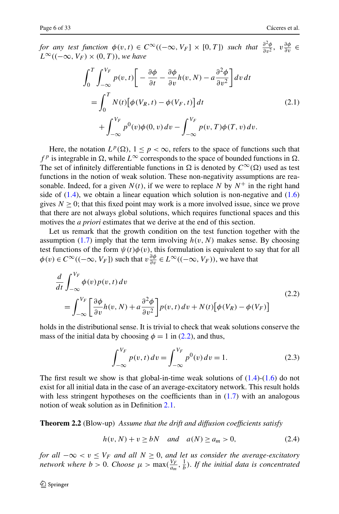*for any test function*  $\phi(v,t) \in C^{\infty}((-\infty, V_F] \times [0, T])$  *such that*  $\frac{\partial^2 \phi}{\partial v^2}$ ,  $v \frac{\partial \phi}{\partial v} \in$  $L<sup>∞</sup>((−∞, V<sub>F</sub>) × (0, T)),$  *we have* 

<span id="page-5-1"></span>
$$
\int_{0}^{T} \int_{-\infty}^{V_{F}} p(v, t) \left[ -\frac{\partial \phi}{\partial t} - \frac{\partial \phi}{\partial v} h(v, N) - a \frac{\partial^{2} \phi}{\partial v^{2}} \right] dv dt
$$
  
= 
$$
\int_{0}^{T} N(t) \left[ \phi(V_{R}, t) - \phi(V_{F}, t) \right] dt
$$
  
+ 
$$
\int_{-\infty}^{V_{F}} p^{0}(v) \phi(0, v) dv - \int_{-\infty}^{V_{F}} p(v, T) \phi(T, v) dv.
$$
 (2.1)

Here, the notation  $L^p(\Omega)$ ,  $1 \le p \le \infty$ , refers to the space of functions such that  $f^p$  is integrable in  $\Omega$ , while  $L^\infty$  corresponds to the space of bounded functions in  $\Omega$ . The set of infinitely differentiable functions in  $\Omega$  is denoted by  $C^{\infty}(\Omega)$  used as test functions in the notion of weak solution. These non-negativity assumptions are reasonable. Indeed, for a given  $N(t)$ , if we were to replace N by  $N^+$  in the right hand side of  $(1.4)$ , we obtain a linear equation which solution is non-negative and  $(1.6)$  $(1.6)$  $(1.6)$ gives  $N \geq 0$ ; that this fixed point may work is a more involved issue, since we prove that there are not always global solutions, which requires functional spaces and this motives the *a priori* estimates that we derive at the end of this section.

Let us remark that the growth condition on the test function together with the assumption  $(1.7)$  $(1.7)$  $(1.7)$  imply that the term involving  $h(v, N)$  makes sense. By choosing test functions of the form  $\psi(t)\phi(v)$ , this formulation is equivalent to say that for all  $\phi(v) \in C^{\infty}((-\infty, V_F])$  such that  $v \frac{\partial \phi}{\partial v} \in L^{\infty}((-\infty, V_F))$ , we have that

$$
\frac{d}{dt} \int_{-\infty}^{V_F} \phi(v) p(v, t) dv
$$
\n
$$
= \int_{-\infty}^{V_F} \left[ \frac{\partial \phi}{\partial v} h(v, N) + a \frac{\partial^2 \phi}{\partial v^2} \right] p(v, t) dv + N(t) \left[ \phi(V_R) - \phi(V_F) \right]
$$
\n(2.2)

holds in the distributional sense. It is trivial to check that weak solutions conserve the mass of the initial data by choosing  $\phi = 1$  in ([2.2](#page-5-0)), and thus,

<span id="page-5-3"></span><span id="page-5-2"></span><span id="page-5-0"></span>
$$
\int_{-\infty}^{V_F} p(v, t) dv = \int_{-\infty}^{V_F} p^0(v) dv = 1.
$$
 (2.3)

<span id="page-5-4"></span>The first result we show is that global-in-time weak solutions of  $(1.4)-(1.6)$  $(1.4)-(1.6)$  $(1.4)-(1.6)$  do not exist for all initial data in the case of an average-excitatory network. This result holds with less stringent hypotheses on the coefficients than in  $(1.7)$  $(1.7)$  $(1.7)$  with an analogous notion of weak solution as in Definition [2.1](#page-5-1).

**Theorem 2.2** (Blow-up) *Assume that the drift and diffusion coefficients satisfy*

$$
h(v, N) + v \ge bN \quad and \quad a(N) \ge a_m > 0,
$$
\n
$$
(2.4)
$$

*for all* −∞ *< v* ≤ *VF and all N* ≥ 0, *and let us consider the average-excitatory network where*  $b > 0$ . *Choose*  $\mu > \max(\frac{V_F}{a_m}, \frac{1}{b})$ . If the initial data is concentrated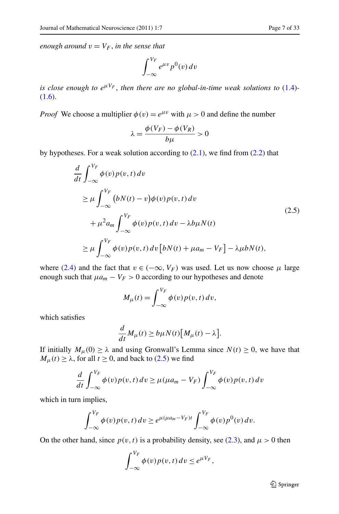$$
\int_{-\infty}^{V_F} e^{\mu v} p^0(v) \, dv
$$

*is close enough to*  $e^{\mu V_F}$ , *then there are no global-in-time weak solutions to* [\(1.4\)](#page-2-1)-[\(1.6\)](#page-3-0).

*Proof* We choose a multiplier  $\phi(v) = e^{\mu v}$  with  $\mu > 0$  and define the number

<span id="page-6-0"></span>
$$
\lambda = \frac{\phi(V_F) - \phi(V_R)}{b\mu} > 0
$$

by hypotheses. For a weak solution according to  $(2.1)$  $(2.1)$ , we find from  $(2.2)$  $(2.2)$  that

$$
\frac{d}{dt} \int_{-\infty}^{V_F} \phi(v) p(v, t) dv
$$
\n
$$
\geq \mu \int_{-\infty}^{V_F} (bN(t) - v) \phi(v) p(v, t) dv
$$
\n
$$
+ \mu^2 a_m \int_{-\infty}^{V_F} \phi(v) p(v, t) dv - \lambda b \mu N(t)
$$
\n
$$
\geq \mu \int_{-\infty}^{V_F} \phi(v) p(v, t) dv [bN(t) + \mu a_m - V_F] - \lambda \mu b N(t),
$$
\n(2.5)

where ([2.4](#page-5-2)) and the fact that  $v \in (-\infty, V_F)$  was used. Let us now choose  $\mu$  large enough such that  $\mu a_m - V_F > 0$  according to our hypotheses and denote

$$
M_{\mu}(t) = \int_{-\infty}^{V_F} \phi(v) p(v, t) dv,
$$

which satisfies

$$
\frac{d}{dt}M_{\mu}(t) \ge b\mu N(t)[M_{\mu}(t) - \lambda].
$$

If initially  $M_{\mu}(0) \ge \lambda$  and using Gronwall's Lemma since  $N(t) \ge 0$ , we have that  $M_{\mu}(t) \geq \lambda$ , for all  $t \geq 0$ , and back to ([2.5](#page-6-0)) we find

$$
\frac{d}{dt} \int_{-\infty}^{V_F} \phi(v) p(v, t) dv \ge \mu(\mu a_m - V_F) \int_{-\infty}^{V_F} \phi(v) p(v, t) dv
$$

which in turn implies,

$$
\int_{-\infty}^{V_F} \phi(v) p(v, t) dv \geq e^{\mu(\mu a_m - V_F)t} \int_{-\infty}^{V_F} \phi(v) p^0(v) dv.
$$

On the other hand, since  $p(v, t)$  is a probability density, see [\(2.3\)](#page-5-3), and  $\mu > 0$  then

$$
\int_{-\infty}^{V_F} \phi(v) p(v, t) dv \leq e^{\mu V_F},
$$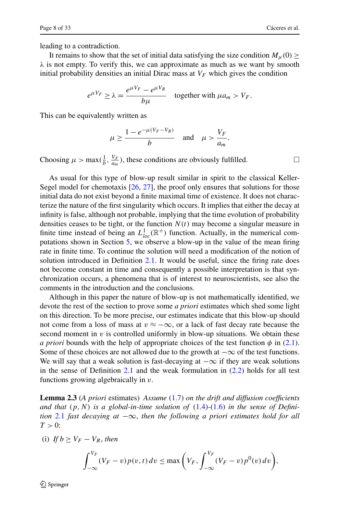leading to a contradiction.

It remains to show that the set of initial data satisfying the size condition  $M_\mu(0) \geq$ *λ* is not empty. To verify this, we can approximate as much as we want by smooth initial probability densities an initial Dirac mass at  $V_F$  which gives the condition

$$
e^{\mu V_F} \ge \lambda = \frac{e^{\mu V_F} - e^{\mu V_R}}{b\mu}
$$
 together with  $\mu a_m > V_F$ .

This can be equivalently written as

$$
\mu \ge \frac{1 - e^{-\mu(V_F - V_R)}}{b} \quad \text{and} \quad \mu > \frac{V_F}{a_m}.
$$

Choosing  $\mu > \max(\frac{1}{b}, \frac{V_F}{a_m})$ , these conditions are obviously fulfilled.

As usual for this type of blow-up result similar in spirit to the classical Keller-Segel model for chemotaxis [\[26](#page-31-19), [27](#page-31-20)], the proof only ensures that solutions for those initial data do not exist beyond a finite maximal time of existence. It does not characterize the nature of the first singularity which occurs. It implies that either the decay at infinity is false, although not probable, implying that the time evolution of probability densities ceases to be tight, or the function  $N(t)$  may become a singular measure in finite time instead of being an  $L_{loc}^1(\mathbb{R}^+)$  function. Actually, in the numerical computations shown in Section [5,](#page-23-0) we observe a blow-up in the value of the mean firing rate in finite time. To continue the solution will need a modification of the notion of solution introduced in Definition [2.1.](#page-4-1) It would be useful, since the firing rate does not become constant in time and consequently a possible interpretation is that synchronization occurs, a phenomena that is of interest to neuroscientists, see also the comments in the introduction and the conclusions.

<span id="page-7-0"></span>Although in this paper the nature of blow-up is not mathematically identified, we devote the rest of the section to prove some *a priori* estimates which shed some light on this direction. To be more precise, our estimates indicate that this blow-up should not come from a loss of mass at  $v \approx -\infty$ , or a lack of fast decay rate because the second moment in  $v$  is controlled uniformly in blow-up situations. We obtain these *a priori* bounds with the help of appropriate choices of the test function  $\phi$  in [\(2.1\)](#page-5-1). Some of these choices are not allowed due to the growth at  $-\infty$  of the test functions. We will say that a weak solution is fast-decaying at  $-\infty$  if they are weak solutions in the sense of Definition [2.1](#page-4-1) and the weak formulation in  $(2.2)$  $(2.2)$  $(2.2)$  holds for all test functions growing algebraically in *v*.

**Lemma 2.3** (*A priori* estimates) *Assume* ([1.7](#page-3-1)) *on the drift and diffusion coefficients* and that  $(p, N)$  is a global-in-time solution of  $(1.4)$  $(1.4)$  $(1.4)$ - $(1.6)$  in the sense of Defini*tion* [2.1](#page-4-1) *fast decaying at* −∞, *then the following a priori estimates hold for all*  $T > 0$ :

(i) *If*  $b \geq V_F - V_R$ , *then* 

$$
\int_{-\infty}^{V_F} (V_F - v) p(v, t) dv \le \max\left(V_F, \int_{-\infty}^{V_F} (V_F - v) p^0(v) dv\right),
$$

Springer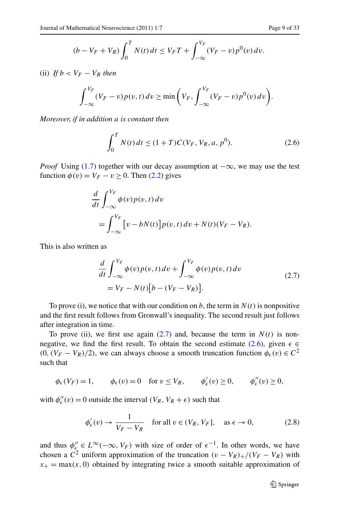$$
(b - V_F + V_R) \int_0^T N(t) dt \le V_F T + \int_{-\infty}^{V_F} (V_F - v) p^{0}(v) dv.
$$

(ii)  $If b < V_F - V_R$  *then* 

$$
\int_{-\infty}^{V_F} (V_F - v) p(v, t) dv \ge \min \left( V_F, \int_{-\infty}^{V_F} (V_F - v) p^{0}(v) dv \right).
$$

*Moreover*, *if in addition a is constant then*

<span id="page-8-1"></span>
$$
\int_0^T N(t) \, dt \le (1+T) C(V_F, V_R, a, p^0). \tag{2.6}
$$

*Proof* Using [\(1.7\)](#page-3-1) together with our decay assumption at  $-\infty$ , we may use the test function  $\phi(v) = V_F - v \ge 0$ . Then [\(2.2\)](#page-5-0) gives

<span id="page-8-0"></span>
$$
\frac{d}{dt} \int_{-\infty}^{V_F} \phi(v) p(v, t) dv
$$
\n
$$
= \int_{-\infty}^{V_F} \left[ v - bN(t) \right] p(v, t) dv + N(t) (V_F - V_R).
$$

This is also written as

<span id="page-8-2"></span>
$$
\frac{d}{dt} \int_{-\infty}^{V_F} \phi(v) p(v, t) dv + \int_{-\infty}^{V_F} \phi(v) p(v, t) dv
$$
\n
$$
= V_F - N(t) [b - (V_F - V_R)].
$$
\n(2.7)

To prove (i), we notice that with our condition on  $b$ , the term in  $N(t)$  is nonpositive and the first result follows from Gronwall's inequality. The second result just follows after integration in time.

To prove (ii), we first use again  $(2.7)$  $(2.7)$  $(2.7)$  and, because the term in  $N(t)$  is non-negative, we find the first result. To obtain the second estimate ([2.6](#page-8-1)), given  $\epsilon \in$  $(0, (V_F - V_R)/2)$ , we can always choose a smooth truncation function  $\phi_{\epsilon}(v) \in C^2$ such that

$$
\phi_{\epsilon}(V_F) = 1,
$$
\n $\phi_{\epsilon}(v) = 0$  for  $v \le V_R$ ,  $\phi'_{\epsilon}(v) \ge 0$ ,  $\phi''_{\epsilon}(v) \ge 0$ ,

with  $\phi''_{\epsilon}(v) = 0$  outside the interval  $(V_R, V_R + \epsilon)$  such that

$$
\phi'_{\epsilon}(v) \to \frac{1}{V_F - V_R} \quad \text{for all } v \in (V_R, V_F], \quad \text{as } \epsilon \to 0,
$$
 (2.8)

and thus  $\phi''_{\epsilon} \in L^{\infty}(-\infty, V_F)$  with size of order of  $\epsilon^{-1}$ . In other words, we have chosen a  $\overline{C}^2$  uniform approximation of the truncation  $(v - V_R)_+/(V_F - V_R)$  with  $x_+ = \max(x, 0)$  obtained by integrating twice a smooth suitable approximation of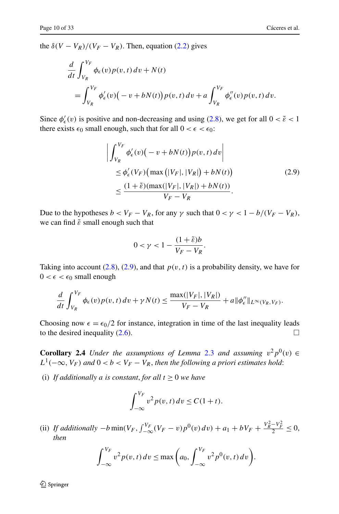the  $\delta (V - V_R)/(V_F - V_R)$ . Then, equation ([2.2](#page-5-0)) gives

$$
\frac{d}{dt} \int_{V_R}^{V_F} \phi_{\epsilon}(v) p(v, t) dv + N(t)
$$
\n
$$
= \int_{V_R}^{V_F} \phi'_{\epsilon}(v) \left( -v + bN(t) \right) p(v, t) dv + a \int_{V_R}^{V_F} \phi''_{\epsilon}(v) p(v, t) dv.
$$

Since  $\phi_{\epsilon}'(v)$  is positive and non-decreasing and using ([2.8\)](#page-8-2), we get for all  $0 < \tilde{\epsilon} < 1$ there exists  $\epsilon_0$  small enough, such that for all  $0 < \epsilon < \epsilon_0$ :

<span id="page-9-0"></span>
$$
\left| \int_{V_R}^{V_F} \phi'_{\epsilon}(v) \left( -v + bN(t) \right) p(v, t) \, dv \right|
$$
  
\n
$$
\leq \phi'_{\epsilon}(V_F) \left( \max \left( |V_F|, |V_R| \right) + bN(t) \right)
$$
  
\n
$$
\leq \frac{(1 + \tilde{\epsilon})(\max(|V_F|, |V_R|) + bN(t))}{V_F - V_R}.
$$
\n(2.9)

Due to the hypotheses  $b < V_F - V_R$ , for any  $\gamma$  such that  $0 < \gamma < 1 - b/(V_F - V_R)$ , we can find  $\tilde{\varepsilon}$  small enough such that

$$
0 < \gamma < 1 - \frac{(1 + \tilde{\varepsilon})b}{V_F - V_R}.
$$

Taking into account ([2.8](#page-8-2)), ([2.9](#page-9-0)), and that  $p(v, t)$  is a probability density, we have for  $0 < \epsilon < \epsilon_0$  small enough

$$
\frac{d}{dt}\int_{V_R}^{V_F}\phi_{\epsilon}(v)p(v,t)\,dv+\gamma N(t)\leq \frac{\max(|V_F|,|V_R|)}{V_F-V_R}+a\|\phi''_{\epsilon}\|_{L^{\infty}(V_R,V_F)}.
$$

Choosing now  $\epsilon = \epsilon_0/2$  for instance, integration in time of the last inequality leads to the desired inequality (2.6). to the desired inequality  $(2.6)$  $(2.6)$  $(2.6)$ .

**Corollary 2.4** *Under the assumptions of Lemma* [2.3](#page-7-0) *and assuming*  $v^2p^0(v) \in$  $L^1(-\infty, V_F)$  and  $0 < b < V_F - V_R$ , then the following a priori estimates hold:

(i) *If additionally a is constant, for all*  $t \geq 0$  *we have* 

$$
\int_{-\infty}^{V_F} v^2 p(v, t) dv \le C(1+t).
$$

(ii) If additionally  $-b \min(V_F, \int_{-\infty}^{V_F} (V_F - v) p^0(v) dv) + a_1 + bV_F + \frac{V^2_R - V^2_F}{2} \le 0$ , *then*

$$
\int_{-\infty}^{V_F} v^2 p(v, t) dv \le \max\left(a_0, \int_{-\infty}^{V_F} v^2 p^0(v, t) dv\right).
$$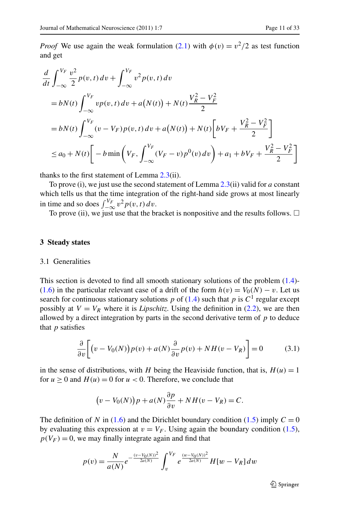*Proof* We use again the weak formulation ([2.1](#page-4-1)) with  $\phi(v) = v^2/2$  as test function and get

$$
\frac{d}{dt} \int_{-\infty}^{V_F} \frac{v^2}{2} p(v, t) dv + \int_{-\infty}^{V_F} v^2 p(v, t) dv
$$
\n
$$
= bN(t) \int_{-\infty}^{V_F} vp(v, t) dv + a(N(t)) + N(t) \frac{V_R^2 - V_F^2}{2}
$$
\n
$$
= bN(t) \int_{-\infty}^{V_F} (v - V_F) p(v, t) dv + a(N(t)) + N(t) \left[ bV_F + \frac{V_R^2 - V_F^2}{2} \right]
$$
\n
$$
\le a_0 + N(t) \left[ -b \min \left( V_F, \int_{-\infty}^{V_F} (V_F - v) p^0(v) dv \right) + a_1 + bV_F + \frac{V_R^2 - V_F^2}{2} \right]
$$

thanks to the first statement of Lemma [2.3](#page-7-0)(ii).

<span id="page-10-0"></span>To prove (i), we just use the second statement of Lemma [2.3](#page-7-0)(ii) valid for *a* constant which tells us that the time integration of the right-hand side grows at most linearly in time and so does  $\int_{-\infty}^{V_F} v^2 p(v, t) dv$ .

To prove (ii), we just use that the bracket is nonpositive and the results follows.  $\Box$ 

## **3 Steady states**

#### 3.1 Generalities

This section is devoted to find all smooth stationary solutions of the problem [\(1.4\)](#page-2-1)- [\(1.6\)](#page-3-0) in the particular relevant case of a drift of the form  $h(v) = V_0(N) - v$ . Let us search for continuous stationary solutions  $p$  of [\(1.4\)](#page-2-1) such that  $p$  is  $C<sup>1</sup>$  regular except possibly at  $V = V_R$  where it is *Lipschitz*. Using the definition in ([2.2](#page-5-0)), we are then allowed by a direct integration by parts in the second derivative term of *p* to deduce that *p* satisfies

<span id="page-10-1"></span>
$$
\frac{\partial}{\partial v}\bigg[\big(v - V_0(N)\big)p(v) + a(N)\frac{\partial}{\partial v}p(v) + NH(v - V_R)\bigg] = 0\tag{3.1}
$$

in the sense of distributions, with *H* being the Heaviside function, that is,  $H(u) = 1$ for  $u \ge 0$  and  $H(u) = 0$  for  $u < 0$ . Therefore, we conclude that

$$
(v - V_0(N))p + a(N)\frac{\partial p}{\partial v} + NH(v - V_R) = C.
$$

The definition of *N* in ([1.6](#page-3-0)) and the Dirichlet boundary condition [\(1.5\)](#page-2-2) imply  $C = 0$ by evaluating this expression at  $v = V_F$ . Using again the boundary condition [\(1.5\)](#page-2-2),  $p(V_F) = 0$ , we may finally integrate again and find that

$$
p(v) = \frac{N}{a(N)}e^{-\frac{(v-V_0(N))^2}{2a(N)}} \int_v^{V_F} e^{\frac{(w-V_0(N))^2}{2a(N)}} H[w-V_R] dw
$$

 $\mathcal{Q}$  Springer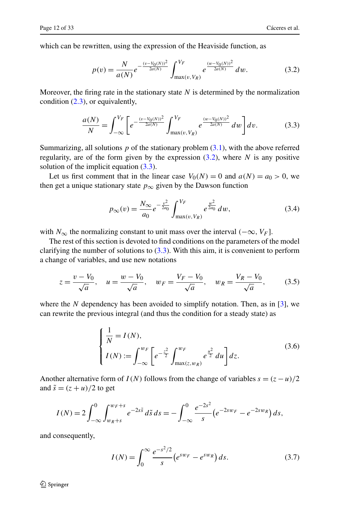which can be rewritten, using the expression of the Heaviside function, as

<span id="page-11-1"></span><span id="page-11-0"></span>
$$
p(v) = \frac{N}{a(N)} e^{-\frac{(v - V_0(N))^2}{2a(N)}} \int_{\max(v, V_R)}^{V_F} e^{\frac{(w - V_0(N))^2}{2a(N)}} dw.
$$
 (3.2)

Moreover, the firing rate in the stationary state  $N$  is determined by the normalization condition [\(2.3\)](#page-5-3), or equivalently,

$$
\frac{a(N)}{N} = \int_{-\infty}^{V_F} \left[ e^{-\frac{(v - V_0(N))^2}{2a(N)}} \int_{\max(v, V_R)}^{V_F} e^{\frac{(w - V_0(N))^2}{2a(N)}} dw \right] dv.
$$
(3.3)

Summarizing, all solutions *p* of the stationary problem ([3.1](#page-10-1)), with the above referred regularity, are of the form given by the expression ([3.2](#page-11-0)), where *N* is any positive solution of the implicit equation  $(3.3)$ .

Let us first comment that in the linear case  $V_0(N) = 0$  and  $a(N) = a_0 > 0$ , we then get a unique stationary state  $p_{\infty}$  given by the Dawson function

<span id="page-11-5"></span><span id="page-11-4"></span><span id="page-11-3"></span>
$$
p_{\infty}(v) = \frac{N_{\infty}}{a_0} e^{-\frac{v^2}{2a_0}} \int_{\max(v,V_R)}^{V_F} e^{\frac{w^2}{2a_0}} dw,
$$
 (3.4)

with *N*<sub>∞</sub> the normalizing constant to unit mass over the interval  $(-\infty, V_F]$ .

The rest of this section is devoted to find conditions on the parameters of the model clarifying the number of solutions to  $(3.3)$  $(3.3)$  $(3.3)$ . With this aim, it is convenient to perform a change of variables, and use new notations

$$
z = \frac{v - V_0}{\sqrt{a}}, \quad u = \frac{w - V_0}{\sqrt{a}}, \quad w_F = \frac{V_F - V_0}{\sqrt{a}}, \quad w_R = \frac{V_R - V_0}{\sqrt{a}}, \tag{3.5}
$$

where the  $N$  dependency has been avoided to simplify notation. Then, as in [\[3](#page-30-2)], we can rewrite the previous integral (and thus the condition for a steady state) as

$$
\begin{cases} \frac{1}{N} = I(N), \\ I(N) := \int_{-\infty}^{w_F} \left[ e^{-\frac{z^2}{2}} \int_{\max(z, w_R)}^{w_F} e^{\frac{u^2}{2}} du \right] dz. \end{cases}
$$
(3.6)

Another alternative form of *I(N)* follows from the change of variables  $s = (z - u)/2$ and  $\tilde{s} = (z + u)/2$  to get

$$
I(N) = 2 \int_{-\infty}^{0} \int_{w_R + s}^{w_F + s} e^{-2s\tilde{s}} d\tilde{s} ds = - \int_{-\infty}^{0} \frac{e^{-2s^2}}{s} \left( e^{-2s w_F} - e^{-2s w_R} \right) ds,
$$

and consequently,

<span id="page-11-2"></span>
$$
I(N) = \int_0^\infty \frac{e^{-s^2/2}}{s} \left( e^{sw_F} - e^{sw_R} \right) ds. \tag{3.7}
$$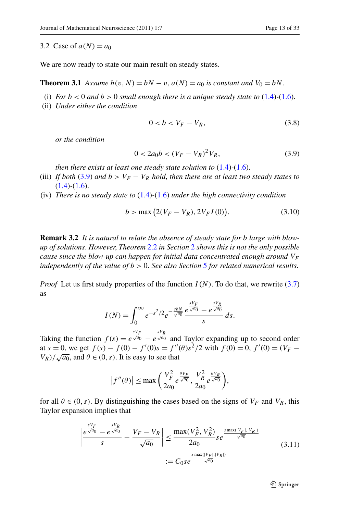3.2 Case of  $a(N) = a_0$ 

We are now ready to state our main result on steady states.

**Theorem 3.1** *Assume*  $h(v, N) = bN - v$ ,  $a(N) = a_0$  *is constant and*  $V_0 = bN$ .

- (i) *For*  $b < 0$  *and*  $b > 0$  *small enough there is a unique steady state to* ([1.4](#page-2-1))-[\(1.6](#page-3-0)).
- (ii) *Under either the condition*

<span id="page-12-4"></span><span id="page-12-3"></span><span id="page-12-0"></span>
$$
0 < b < V_F - V_R,\tag{3.8}
$$

*or the condition*

$$
0 < 2a_0 b < (V_F - V_R)^2 V_R,\tag{3.9}
$$

*then there exists at least one steady state solution to* [\(1.4\)](#page-2-1)*-*([1.6](#page-3-0)).

- <span id="page-12-2"></span>(iii) *If both* [\(3.9\)](#page-12-0) and  $b > V_F - V_R$  *hold*, *then there are at least two steady states to* [\(1.4](#page-2-1))*-*[\(1.6\)](#page-3-0).
- (iv) *There is no steady state to* [\(1.4\)](#page-2-1)*-*([1.6](#page-3-0)) *under the high connectivity condition*

$$
b > \max (2(V_F - V_R), 2V_F I(0)).
$$
\n(3.10)

**Remark 3.2** *It is natural to relate the absence of steady state for b large with blowup of solutions*. *However*, *Theorem* [2.2](#page-5-4) *in Section* [2](#page-4-0) *shows this is not the only possible cause since the blow-up can happen for initial data concentrated enough around*  $V_F$ *independently of the value of b >* 0. *See also Section* [5](#page-23-0) *for related numerical results*.

*Proof* Let us first study properties of the function  $I(N)$ . To do that, we rewrite ([3.7](#page-11-2)) as

$$
I(N) = \int_0^\infty e^{-s^2/2} e^{-\frac{s b N}{\sqrt{a_0}}} \frac{e^{\frac{s V_F}{\sqrt{a_0}}} - e^{\frac{s V_R}{\sqrt{a_0}}} }{s} ds.
$$

Taking the function  $f(s) = e^{\frac{sV_F}{\sqrt{a_0}}} - e^{\frac{sV_R}{\sqrt{a_0}}}$  and Taylor expanding up to second order at  $s = 0$ , we get  $f(s) - f(0) - f'(0)s = f''(\theta)s^2/2$  with  $f(0) = 0$ ,  $f'(0) = (V_F V_R$ / $\sqrt{a_0}$ , and  $\theta \in (0, s)$ . It is easy to see that

<span id="page-12-1"></span>
$$
\left|f''(\theta)\right| \le \max\left(\frac{V_F^2}{2a_0}e^{\frac{\theta V_F}{\sqrt{a_0}}}, \frac{V_R^2}{2a_0}e^{\frac{\theta V_R}{\sqrt{a_0}}}\right),\,
$$

for all  $\theta \in (0, s)$ . By distinguishing the cases based on the signs of  $V_F$  and  $V_R$ , this Taylor expansion implies that

$$
\left| \frac{e^{\frac{sV_F}{\sqrt{a_0}}}-e^{\frac{sV_R}{\sqrt{a_0}}}}{s} - \frac{V_F - V_R}{\sqrt{a_0}} \right| \le \frac{\max(V_F^2, V_R^2)}{2a_0} s e^{\frac{s \max(|V_F|, |V_R|)}{\sqrt{a_0}}}
$$
(3.11)  
 :=  $C_0 s e^{\frac{s \max(|V_F|, |V_R|)}{\sqrt{a_0}}}$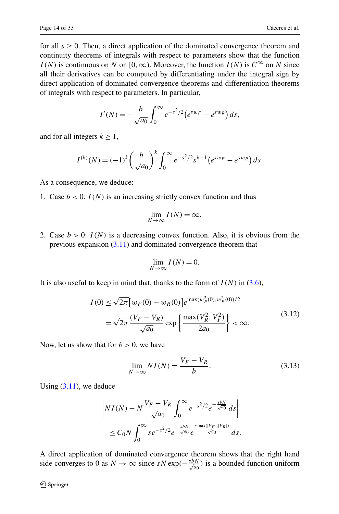for all  $s \geq 0$ . Then, a direct application of the dominated convergence theorem and continuity theorems of integrals with respect to parameters show that the function *I(N)* is continuous on *N* on [0, ∞). Moreover, the function *I(N)* is  $C^{\infty}$  on *N* since all their derivatives can be computed by differentiating under the integral sign by direct application of dominated convergence theorems and differentiation theorems of integrals with respect to parameters. In particular,

$$
I'(N) = -\frac{b}{\sqrt{a_0}} \int_0^{\infty} e^{-s^2/2} (e^{sw_F} - e^{sw_R}) ds,
$$

and for all integers  $k \geq 1$ ,

$$
I^{(k)}(N) = (-1)^k \left(\frac{b}{\sqrt{a_0}}\right)^k \int_0^\infty e^{-s^2/2} s^{k-1} \left(e^{sw_F} - e^{sw_R}\right) ds.
$$

As a consequence, we deduce:

1. Case  $b < 0$ :  $I(N)$  is an increasing strictly convex function and thus

$$
\lim_{N \to \infty} I(N) = \infty.
$$

2. Case  $b > 0$ :  $I(N)$  is a decreasing convex function. Also, it is obvious from the previous expansion  $(3.11)$  $(3.11)$  $(3.11)$  and dominated convergence theorem that

<span id="page-13-1"></span><span id="page-13-0"></span>
$$
\lim_{N \to \infty} I(N) = 0.
$$

It is also useful to keep in mind that, thanks to the form of  $I(N)$  in  $(3.6)$ ,

$$
I(0) \le \sqrt{2\pi} \left[ w_F(0) - w_R(0) \right] e^{\max(w_R^2(0), w_F^2(0))/2}
$$
  
=  $\sqrt{2\pi} \frac{(V_F - V_R)}{\sqrt{a_0}} \exp \left\{ \frac{\max(V_R^2, V_F^2)}{2a_0} \right\} < \infty.$  (3.12)

Now, let us show that for  $b > 0$ , we have

$$
\lim_{N \to \infty} NI(N) = \frac{V_F - V_R}{b}.
$$
\n(3.13)

Using  $(3.11)$ , we deduce

$$
\left| NI(N) - N \frac{V_F - V_R}{\sqrt{a_0}} \int_0^\infty e^{-s^2/2} e^{-\frac{s b N}{\sqrt{a_0}}} ds \right|
$$
  

$$
\leq C_0 N \int_0^\infty s e^{-s^2/2} e^{-\frac{s b N}{\sqrt{a_0}} e^{\frac{s \max(|V_F|, |V_R|)}{\sqrt{a_0}}} ds.
$$

A direct application of dominated convergence theorem shows that the right hand side converges to 0 as  $N \to \infty$  since  $sN \exp(-\frac{s b N}{\sqrt{a_0}})$  is a bounded function uniform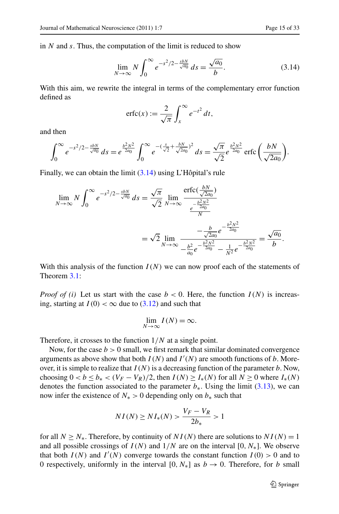in *N* and *s*. Thus, the computation of the limit is reduced to show

<span id="page-14-0"></span>
$$
\lim_{N \to \infty} N \int_0^{\infty} e^{-s^2/2 - \frac{s b N}{\sqrt{a_0}}} ds = \frac{\sqrt{a_0}}{b}.
$$
 (3.14)

With this aim, we rewrite the integral in terms of the complementary error function defined as

$$
\operatorname{erfc}(x) := \frac{2}{\sqrt{\pi}} \int_x^{\infty} e^{-t^2} dt,
$$

and then

$$
\int_0^\infty e^{-s^2/2 - \frac{s b N}{\sqrt{a_0}}} ds = e^{\frac{b^2 N^2}{2a_0}} \int_0^\infty e^{-(\frac{s}{\sqrt{2}} + \frac{b N}{\sqrt{2a_0}})^2} ds = \frac{\sqrt{\pi}}{\sqrt{2}} e^{\frac{b^2 N^2}{2a_0}} \operatorname{erfc}\left(\frac{b N}{\sqrt{2a_0}}\right).
$$

Finally, we can obtain the limit [\(3.14\)](#page-14-0) using L'Hôpital's rule

$$
\lim_{N \to \infty} N \int_0^{\infty} e^{-s^2/2 - \frac{s b N}{\sqrt{a_0}}} ds = \frac{\sqrt{\pi}}{\sqrt{2}} \lim_{N \to \infty} \frac{\text{erfc}(\frac{b N}{\sqrt{2a_0}})}{\frac{e^{-\frac{b^2 N^2}{2a_0}}}{N}}
$$

$$
= \sqrt{2} \lim_{N \to \infty} \frac{-\frac{b}{\sqrt{2a_0}} e^{-\frac{b^2 N^2}{2a_0}}}{-\frac{b^2}{a_0} e^{-\frac{b^2 N^2}{2a_0}}} = \frac{\sqrt{a_0}}{b}.
$$

With this analysis of the function  $I(N)$  we can now proof each of the statements of Theorem [3.1:](#page-12-2)

*Proof of (i)* Let us start with the case  $b < 0$ . Here, the function  $I(N)$  is increasing, starting at  $I(0) < \infty$  due to  $(3.12)$  $(3.12)$  $(3.12)$  and such that

$$
\lim_{N \to \infty} I(N) = \infty.
$$

Therefore, it crosses to the function 1*/N* at a single point.

Now, for the case  $b > 0$  small, we first remark that similar dominated convergence arguments as above show that both  $I(N)$  and  $I'(N)$  are smooth functions of *b*. Moreover, it is simple to realize that  $I(N)$  is a decreasing function of the parameter  $b$ . Now, choosing  $0 < b \leq b_* < (V_F - V_R)/2$ , then  $I(N) \geq I_*(N)$  for all  $N \geq 0$  where  $I_*(N)$ denotes the function associated to the parameter  $b<sub>*</sub>$ . Using the limit ([3.13\)](#page-13-1), we can now infer the existence of  $N_*$  > 0 depending only on  $b_*$  such that

$$
NI(N) \ge NI_*(N) > \frac{V_F - V_R}{2b_*} > 1
$$

for all  $N \ge N_*$ . Therefore, by continuity of  $NI(N)$  there are solutions to  $NI(N) = 1$ and all possible crossings of  $I(N)$  and  $1/N$  are on the interval  $[0, N<sub>*</sub>]$ . We observe that both  $I(N)$  and  $I'(N)$  converge towards the constant function  $I(0) > 0$  and to 0 respectively, uniformly in the interval  $[0, N_*]$  as  $b \to 0$ . Therefore, for *b* small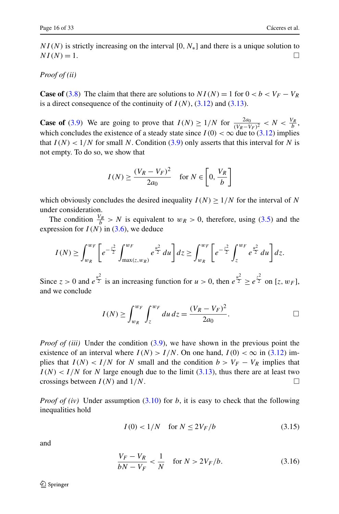*NI*(*N*) is strictly increasing on the interval [0*, N*<sup>\*</sup>] and there is a unique solution to  $NI(N) = 1$ .  $NI(N) = 1.$ 

# *Proof of (ii)*

**Case of** ([3.8](#page-12-3)) The claim that there are solutions to  $NI(N) = 1$  for  $0 < b < V_F - V_R$ is a direct consequence of the continuity of  $I(N)$ ,  $(3.12)$  $(3.12)$  $(3.12)$  and  $(3.13)$  $(3.13)$ .

**Case of** ([3.9](#page-12-0)) We are going to prove that  $I(N) \ge 1/N$  for  $\frac{2a_0}{(V_R - V_F)^2} < N < \frac{V_R}{b}$ , which concludes the existence of a steady state since  $I(0) < \infty$  due to [\(3.12\)](#page-13-0) implies that  $I(N) < 1/N$  for small N. Condition ([3.9\)](#page-12-0) only asserts that this interval for N is not empty. To do so, we show that

$$
I(N) \ge \frac{(V_R - V_F)^2}{2a_0} \quad \text{for } N \in \left[0, \frac{V_R}{b}\right]
$$

which obviously concludes the desired inequality  $I(N) \geq 1/N$  for the interval of N under consideration.

The condition  $\frac{V_R}{b} > N$  is equivalent to  $w_R > 0$ , therefore, using ([3.5](#page-11-4)) and the expression for  $I(N)$  in ([3.6](#page-11-3)), we deduce

$$
I(N) \geq \int_{w_R}^{w_F} \left[ e^{-\frac{z^2}{2}} \int_{\max(z,w_R)}^{w_F} e^{\frac{u^2}{2}} du \right] dz \geq \int_{w_R}^{w_F} \left[ e^{-\frac{z^2}{2}} \int_z^{w_F} e^{\frac{u^2}{2}} du \right] dz.
$$

Since  $z > 0$  and  $e^{\frac{u^2}{2}}$  is an increasing function for  $u > 0$ , then  $e^{\frac{u^2}{2}} \ge e^{\frac{z^2}{2}}$  on [*z*, *w<sub>F</sub>*], and we conclude

$$
I(N) \ge \int_{w_R}^{w_F} \int_z^{w_F} du \, dz = \frac{(V_R - V_F)^2}{2a_0}.
$$

*Proof of (iii)* Under the condition ([3.9](#page-12-0)), we have shown in the previous point the existence of an interval where  $I(N) > I/N$ . On one hand,  $I(0) < \infty$  in ([3.12](#page-13-0)) implies that  $I(N) < I/N$  for *N* small and the condition  $b > V_F - V_R$  implies that  $I(N) < I/N$  for *N* large enough due to the limit ([3.13](#page-13-1)), thus there are at least two crossings between  $I(N)$  and  $1/N$ .

*Proof of (iv)* Under assumption [\(3.10\)](#page-12-4) for *b*, it is easy to check that the following inequalities hold

<span id="page-15-1"></span><span id="page-15-0"></span>
$$
I(0) < 1/N \quad \text{for } N \le 2V_F/b \tag{3.15}
$$

and

$$
\frac{V_F - V_R}{bN - V_F} < \frac{1}{N} \quad \text{for } N > 2V_F/b. \tag{3.16}
$$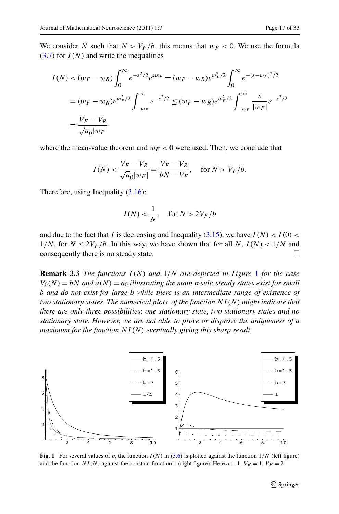We consider *N* such that  $N > V_F/b$ , this means that  $w_F < 0$ . We use the formula  $(3.7)$  for  $I(N)$  and write the inequalities

$$
I(N) < (w_F - w_R) \int_0^\infty e^{-s^2/2} e^{sw_F} = (w_F - w_R) e^{w_F^2/2} \int_0^\infty e^{-(s-w_F)^2/2}
$$
\n
$$
= (w_F - w_R) e^{w_F^2/2} \int_{-w_F}^\infty e^{-s^2/2} \le (w_F - w_R) e^{w_F^2/2} \int_{-w_F}^\infty \frac{s}{|w_F|} e^{-s^2/2}
$$
\n
$$
= \frac{V_F - V_R}{\sqrt{a_0 |w_F|}}
$$

where the mean-value theorem and  $w_F < 0$  were used. Then, we conclude that

$$
I(N) < \frac{V_F - V_R}{\sqrt{a_0|w_F|}} = \frac{V_F - V_R}{bN - V_F}, \quad \text{for } N > V_F/b.
$$

Therefore, using Inequality [\(3.16\)](#page-15-0):

$$
I(N) < \frac{1}{N}, \quad \text{for } N > 2V_F/b
$$

and due to the fact that *I* is decreasing and Inequality [\(3.15\)](#page-15-1), we have  $I(N) < I(0)$  <  $1/N$ , for  $N \le 2V_F/b$ . In this way, we have shown that for all  $N$ ,  $I(N) < 1/N$  and consequently there is no steady state. consequently there is no steady state.

**Remark 3.3** *The functions I (N ) and* 1*/N are depicted in Figure* [1](#page-16-0) *for the case*  $V_0(N) = bN$  *and*  $a(N) = a_0$  *illustrating the main result: steady states exist for small b and do not exist for large b while there is an intermediate range of existence of two stationary states*. *The numerical plots of the function NI (N ) might indicate that there are only three possibilities*: *one stationary state*, *two stationary states and no stationary state*. *However*, *we are not able to prove or disprove the uniqueness of a maximum for the function NI (N ) eventually giving this sharp result*.

<span id="page-16-0"></span>

**Fig. 1** For several values of *b*, the function  $I(N)$  in [\(3.6](#page-11-3)) is plotted against the function  $1/N$  (left figure) and the function *NI(N)* against the constant function 1 (right figure). Here  $a \equiv 1$ ,  $V_R = 1$ ,  $V_F = 2$ .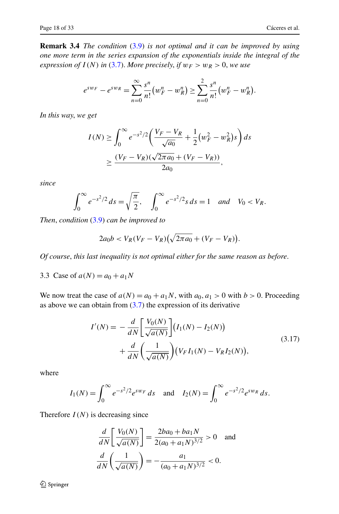**Remark 3.4** *The condition* ([3.9](#page-12-0)) *is not optimal and it can be improved by using one more term in the series expansion of the exponentials inside the integral of the expression of*  $I(N)$  *in* [\(3.7\)](#page-11-2). *More precisely, if*  $w_F > w_R > 0$ *, we use* 

$$
e^{sw_F}-e^{sw_R}=\sum_{n=0}^{\infty}\frac{s^n}{n!}(w_F^n-w_R^n)\geq \sum_{n=0}^2\frac{s^n}{n!}(w_F^n-w_R^n).
$$

*In this way*, *we get*

$$
I(N) \ge \int_0^\infty e^{-s^2/2} \left( \frac{V_F - V_R}{\sqrt{a_0}} + \frac{1}{2} (w_F^2 - w_R^2) s \right) ds
$$
  
 
$$
\ge \frac{(V_F - V_R)(\sqrt{2\pi a_0} + (V_F - V_R))}{2a_0},
$$

*since*

$$
\int_0^\infty e^{-s^2/2} \, ds = \sqrt{\frac{\pi}{2}}, \quad \int_0^\infty e^{-s^2/2} s \, ds = 1 \quad \text{and} \quad V_0 < V_R.
$$

*Then*, *condition* [\(3.9\)](#page-12-0) *can be improved to*

<span id="page-17-0"></span>
$$
2a_0b < V_R(V_F - V_R)(\sqrt{2\pi a_0} + (V_F - V_R)).
$$

*Of course*, *this last inequality is not optimal either for the same reason as before*.

3.3 Case of  $a(N) = a_0 + a_1N$ 

We now treat the case of  $a(N) = a_0 + a_1N$ , with  $a_0, a_1 > 0$  with  $b > 0$ . Proceeding as above we can obtain from  $(3.7)$  $(3.7)$  $(3.7)$  the expression of its derivative

$$
I'(N) = -\frac{d}{dN} \left[ \frac{V_0(N)}{\sqrt{a(N)}} \right] (I_1(N) - I_2(N)) + \frac{d}{dN} \left( \frac{1}{\sqrt{a(N)}} \right) (V_F I_1(N) - V_R I_2(N)),
$$
\n(3.17)

where

$$
I_1(N) = \int_0^\infty e^{-s^2/2} e^{sw_F} ds \text{ and } I_2(N) = \int_0^\infty e^{-s^2/2} e^{sw_R} ds.
$$

Therefore  $I(N)$  is decreasing since

$$
\frac{d}{dN} \left[ \frac{V_0(N)}{\sqrt{a(N)}} \right] = \frac{2ba_0 + ba_1N}{2(a_0 + a_1N)^{3/2}} > 0 \text{ and}
$$

$$
\frac{d}{dN} \left( \frac{1}{\sqrt{a(N)}} \right) = -\frac{a_1}{(a_0 + a_1N)^{3/2}} < 0.
$$

 $\hat{Z}$  Springer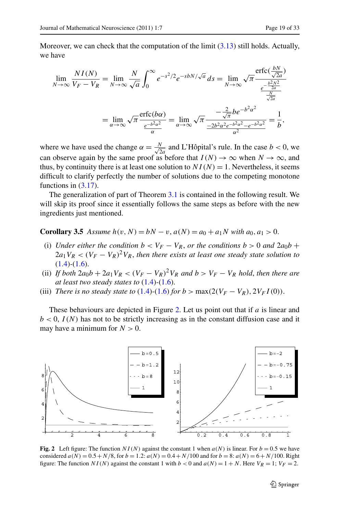*bN*

Moreover, we can check that the computation of the limit [\(3.13\)](#page-13-1) still holds. Actually, we have

$$
\lim_{N \to \infty} \frac{NI(N)}{V_F - V_R} = \lim_{N \to \infty} \frac{N}{\sqrt{a}} \int_0^{\infty} e^{-s^2/2} e^{-sbN/\sqrt{a}} ds = \lim_{N \to \infty} \sqrt{\pi} \frac{\operatorname{erfc}(\frac{bN}{\sqrt{2a}})}{\frac{e^{-\frac{b^2N^2}{2a}}}{\frac{N}{\sqrt{2a}}}} = \lim_{\alpha \to \infty} \sqrt{\pi} \frac{-\frac{2}{\sqrt{\pi}} be^{-b^2 \alpha^2}}{\frac{-2b^2 \alpha^2 e^{-b^2 \alpha^2} - e^{-b^2 \alpha^2}}{\alpha^2}} = \frac{1}{b},
$$

where we have used the change  $\alpha = \frac{N}{\sqrt{2a}}$  and L'Hôpital's rule. In the case *b* < 0, we can observe again by the same proof as before that  $I(N) \to \infty$  when  $N \to \infty$ , and thus, by continuity there is at least one solution to  $NI(N) = 1$ . Nevertheless, it seems difficult to clarify perfectly the number of solutions due to the competing monotone functions in ([3.17](#page-17-0)).

The generalization of part of Theorem [3.1](#page-12-2) is contained in the following result. We will skip its proof since it essentially follows the same steps as before with the new ingredients just mentioned.

**Corollary 3.5** *Assume*  $h(v, N) = bN - v$ ,  $a(N) = a_0 + a_1N$  *with*  $a_0, a_1 > 0$ .

- (i) *Under either the condition*  $b < V_F V_R$ , *or the conditions*  $b > 0$  *and*  $2a_0b +$  $2a_1V_R < (V_F - V_R)^2V_R$ , then there exists at least one steady state solution to [\(1.4](#page-2-1))*-*[\(1.6\)](#page-3-0).
- (ii) *If both*  $2a_0b + 2a_1V_R < (V_F V_R)^2V_R$  *and*  $b > V_F V_R$  *hold, then there are at least two steady states to* ([1.4](#page-2-1))*-*[\(1.6\)](#page-3-0).
- (iii) *There is no steady state to* [\(1.4\)](#page-2-1)-([1.6](#page-3-0)) *for*  $b > \max(2(V_F V_R), 2V_F I(0))$ .

These behaviours are depicted in Figure [2](#page-18-0). Let us point out that if *a* is linear and  $b < 0$ ,  $I(N)$  has not to be strictly increasing as in the constant diffusion case and it may have a minimum for  $N > 0$ .

<span id="page-18-0"></span>

**Fig. 2** Left figure: The function  $NI(N)$  against the constant 1 when  $a(N)$  is linear. For  $b = 0.5$  we have considered  $a(N) = 0.5 + N/8$ , for  $b = 1.2$ :  $a(N) = 0.4 + N/100$  and for  $b = 8$ :  $a(N) = 6 + N/100$ . Right figure: The function  $NI(N)$  against the constant 1 with  $b < 0$  and  $a(N) = 1 + N$ . Here  $V_R = 1$ ;  $V_F = 2$ .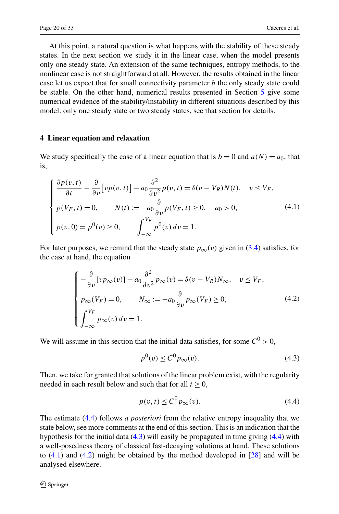<span id="page-19-0"></span>At this point, a natural question is what happens with the stability of these steady states. In the next section we study it in the linear case, when the model presents only one steady state. An extension of the same techniques, entropy methods, to the nonlinear case is not straightforward at all. However, the results obtained in the linear case let us expect that for small connectivity parameter *b* the only steady state could be stable. On the other hand, numerical results presented in Section [5](#page-23-0) give some numerical evidence of the stability/instability in different situations described by this model: only one steady state or two steady states, see that section for details.

## **4 Linear equation and relaxation**

We study specifically the case of a linear equation that is  $b = 0$  and  $a(N) = a_0$ , that is,

<span id="page-19-3"></span>
$$
\begin{cases}\n\frac{\partial p(v,t)}{\partial t} - \frac{\partial}{\partial v} \Big[ v p(v,t) \Big] - a_0 \frac{\partial^2}{\partial v^2} p(v,t) = \delta(v - V_R) N(t), \quad v \le V_F, \\
p(V_F, t) = 0, \qquad N(t) := -a_0 \frac{\partial}{\partial v} p(V_F, t) \ge 0, \quad a_0 > 0, \\
p(v, 0) = p^0(v) \ge 0, \qquad \int_{-\infty}^{V_F} p^0(v) dv = 1.\n\end{cases}
$$
\n(4.1)

For later purposes, we remind that the steady state  $p_{\infty}(v)$  given in [\(3.4\)](#page-11-5) satisfies, for the case at hand, the equation

$$
\begin{cases}\n-\frac{\partial}{\partial v}[vp_{\infty}(v)] - a_0 \frac{\partial^2}{\partial v^2} p_{\infty}(v) = \delta(v - V_R)N_{\infty}, & v \le V_F, \\
p_{\infty}(V_F) = 0, & N_{\infty} := -a_0 \frac{\partial}{\partial v} p_{\infty}(V_F) \ge 0, \\
\int_{-\infty}^{V_F} p_{\infty}(v) dv = 1.\n\end{cases}
$$
\n(4.2)

We will assume in this section that the initial data satisfies, for some  $C^0 > 0$ ,

<span id="page-19-4"></span><span id="page-19-2"></span><span id="page-19-1"></span>
$$
p^{0}(v) \le C^{0} p_{\infty}(v). \tag{4.3}
$$

Then, we take for granted that solutions of the linear problem exist, with the regularity needed in each result below and such that for all  $t \geq 0$ ,

$$
p(v,t) \le C^0 p_{\infty}(v). \tag{4.4}
$$

The estimate [\(4.4](#page-19-1)) follows *a posteriori* from the relative entropy inequality that we state below, see more comments at the end of this section. This is an indication that the hypothesis for the initial data ([4.3](#page-19-2)) will easily be propagated in time giving ([4.4](#page-19-1)) with a well-posedness theory of classical fast-decaying solutions at hand. These solutions to [\(4.1\)](#page-19-3) and [\(4.2](#page-19-4)) might be obtained by the method developed in [\[28](#page-31-21)] and will be analysed elsewhere.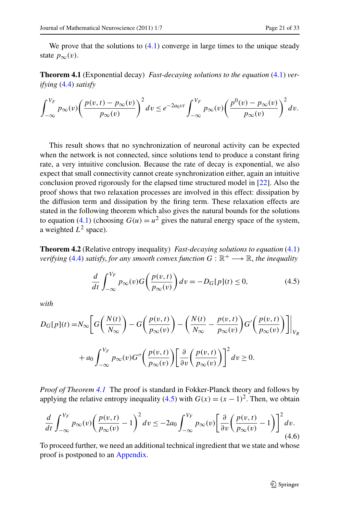<span id="page-20-0"></span>We prove that the solutions to  $(4.1)$  converge in large times to the unique steady state  $p_{\infty}(v)$ .

**Theorem 4.1** (Exponential decay) *Fast-decaying solutions to the equation* ([4.1](#page-19-3)) *verifying* [\(4.4\)](#page-19-1) *satisfy*

$$
\int_{-\infty}^{V_F} p_{\infty}(v) \left( \frac{p(v,t) - p_{\infty}(v)}{p_{\infty}(v)} \right)^2 dv \le e^{-2a_0vt} \int_{-\infty}^{V_F} p_{\infty}(v) \left( \frac{p^0(v) - p_{\infty}(v)}{p_{\infty}(v)} \right)^2 dv.
$$

This result shows that no synchronization of neuronal activity can be expected when the network is not connected, since solutions tend to produce a constant firing rate, a very intuitive conclusion. Because the rate of decay is exponential, we also expect that small connectivity cannot create synchronization either, again an intuitive conclusion proved rigorously for the elapsed time structured model in [[22\]](#page-31-16). Also the proof shows that two relaxation processes are involved in this effect: dissipation by the diffusion term and dissipation by the firing term. These relaxation effects are stated in the following theorem which also gives the natural bounds for the solutions to equation ([4.1](#page-19-3)) (choosing  $G(u) = u^2$  gives the natural energy space of the system, a weighted  $L^2$  space).

**Theorem 4.2** (Relative entropy inequality) *Fast-decaying solutions to equation* ([4.1](#page-19-3)) *verifying* ([4.4](#page-19-1)) *satisfy, for any smooth convex function*  $G : \mathbb{R}^+ \longrightarrow \mathbb{R}$ *, the inequality* 

<span id="page-20-2"></span><span id="page-20-1"></span>
$$
\frac{d}{dt} \int_{-\infty}^{V_F} p_{\infty}(v) G\left(\frac{p(v,t)}{p_{\infty}(v)}\right) dv = -D_G[p](t) \le 0,
$$
\n(4.5)

<span id="page-20-3"></span>*with*

$$
D_G[p](t) = N_{\infty} \left[ G\left(\frac{N(t)}{N_{\infty}}\right) - G\left(\frac{p(v,t)}{p_{\infty}(v)}\right) - \left(\frac{N(t)}{N_{\infty}} - \frac{p(v,t)}{p_{\infty}(v)}\right) G'\left(\frac{p(v,t)}{p_{\infty}(v)}\right) \right] \Big|_{V_R}
$$
  
+ 
$$
a_0 \int_{-\infty}^{V_F} p_{\infty}(v) G''\left(\frac{p(v,t)}{p_{\infty}(v)}\right) \left[ \frac{\partial}{\partial v} \left(\frac{p(v,t)}{p_{\infty}(v)}\right) \right]^2 dv \ge 0.
$$

*Proof of Theorem [4.1](#page-20-0)* The proof is standard in Fokker-Planck theory and follows by applying the relative entropy inequality ([4.5](#page-20-1)) with  $G(x) = (x - 1)^2$ . Then, we obtain

$$
\frac{d}{dt} \int_{-\infty}^{V_F} p_{\infty}(v) \left( \frac{p(v,t)}{p_{\infty}(v)} - 1 \right)^2 dv \le -2a_0 \int_{-\infty}^{V_F} p_{\infty}(v) \left[ \frac{\partial}{\partial v} \left( \frac{p(v,t)}{p_{\infty}(v)} - 1 \right) \right]^2 dv.
$$
\n(4.6)

To proceed further, we need an additional technical ingredient that we state and whose proof is postponed to an [Appendix.](#page-28-0)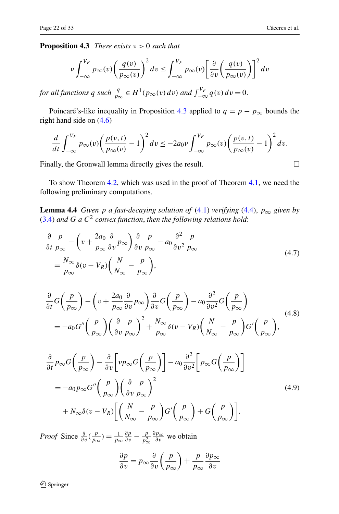<span id="page-21-0"></span>**Proposition 4.3** *There exists ν >* 0 *such that*

$$
\nu \int_{-\infty}^{V_F} p_{\infty}(v) \left(\frac{q(v)}{p_{\infty}(v)}\right)^2 dv \le \int_{-\infty}^{V_F} p_{\infty}(v) \left[\frac{\partial}{\partial v} \left(\frac{q(v)}{p_{\infty}(v)}\right)\right]^2 dv
$$

*for all functions*  $q \text{ such } \frac{q}{p_{\infty}} \in H^1(p_{\infty}(v) dv)$  *and*  $\int_{-\infty}^{V_F} q(v) dv = 0$ .

Poincaré's-like inequality in Proposition [4.3](#page-21-0) applied to  $q = p - p_{\infty}$  bounds the right hand side on [\(4.6\)](#page-20-2)

<span id="page-21-1"></span>
$$
\frac{d}{dt} \int_{-\infty}^{V_F} p_{\infty}(v) \left( \frac{p(v,t)}{p_{\infty}(v)} - 1 \right)^2 dv \le -2a_0 \nu \int_{-\infty}^{V_F} p_{\infty}(v) \left( \frac{p(v,t)}{p_{\infty}(v)} - 1 \right)^2 dv.
$$

Finally, the Gronwall lemma directly gives the result.  $\Box$ 

To show Theorem [4.2,](#page-20-3) which was used in the proof of Theorem [4.1](#page-20-0), we need the following preliminary computations.

**Lemma 4.4** *Given p a fast-decaying solution of* ([4.1](#page-19-3)) *verifying* [\(4.4\)](#page-19-1),  $p_{\infty}$  *given by* [\(3.4\)](#page-11-5) *and G a C*<sup>2</sup> *convex function*, *then the following relations hold*:

<span id="page-21-2"></span>
$$
\frac{\partial}{\partial t} \frac{p}{p_{\infty}} - \left( v + \frac{2a_0}{p_{\infty}} \frac{\partial}{\partial v} p_{\infty} \right) \frac{\partial}{\partial v} \frac{p}{p_{\infty}} - a_0 \frac{\partial^2}{\partial v^2} \frac{p}{p_{\infty}} \n= \frac{N_{\infty}}{p_{\infty}} \delta(v - V_R) \left( \frac{N}{N_{\infty}} - \frac{p}{p_{\infty}} \right),
$$
\n(4.7)

$$
\frac{\partial}{\partial t}G\left(\frac{p}{p_{\infty}}\right) - \left(v + \frac{2a_0}{p_{\infty}}\frac{\partial}{\partial v}p_{\infty}\right)\frac{\partial}{\partial v}G\left(\frac{p}{p_{\infty}}\right) - a_0\frac{\partial^2}{\partial v^2}G\left(\frac{p}{p_{\infty}}\right) \n= -a_0G''\left(\frac{p}{p_{\infty}}\right)\left(\frac{\partial}{\partial v}\frac{p}{p_{\infty}}\right)^2 + \frac{N_{\infty}}{p_{\infty}}\delta(v - V_R)\left(\frac{N}{N_{\infty}} - \frac{p}{p_{\infty}}\right)G'\left(\frac{p}{p_{\infty}}\right),
$$
\n(4.8)

$$
\frac{\partial}{\partial t} p_{\infty} G\left(\frac{p}{p_{\infty}}\right) - \frac{\partial}{\partial v} \left[ v p_{\infty} G\left(\frac{p}{p_{\infty}}\right) \right] - a_0 \frac{\partial^2}{\partial v^2} \left[ p_{\infty} G\left(\frac{p}{p_{\infty}}\right) \right]
$$
\n
$$
= -a_0 p_{\infty} G''\left(\frac{p}{p_{\infty}}\right) \left(\frac{\partial}{\partial v} \frac{p}{p_{\infty}}\right)^2
$$
\n
$$
+ N_{\infty} \delta(v - V_R) \left[ \left(\frac{N}{N_{\infty}} - \frac{p}{p_{\infty}}\right) G'\left(\frac{p}{p_{\infty}}\right) + G\left(\frac{p}{p_{\infty}}\right) \right].
$$
\n(4.9)

*Proof* Since  $\frac{\partial}{\partial v}(\frac{p}{p_{\infty}}) = \frac{1}{p_{\infty}}$  $\frac{\partial p}{\partial v}$  −  $\frac{p}{p_{\infty}^2}$ *∂p*<sup>∞</sup> *∂v* we obtain

<span id="page-21-3"></span>
$$
\frac{\partial p}{\partial v} = p_{\infty} \frac{\partial}{\partial v} \left( \frac{p}{p_{\infty}} \right) + \frac{p}{p_{\infty}} \frac{\partial p_{\infty}}{\partial v}
$$

 $\hat{Z}$  Springer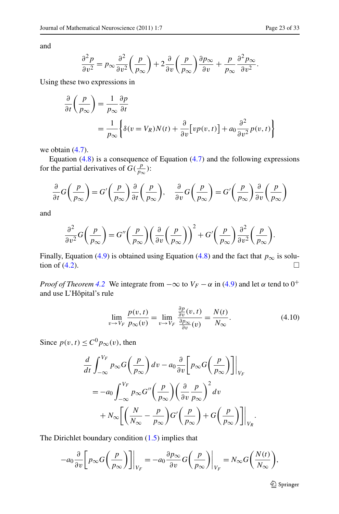and

$$
\frac{\partial^2 p}{\partial v^2} = p_{\infty} \frac{\partial^2}{\partial v^2} \left( \frac{p}{p_{\infty}} \right) + 2 \frac{\partial}{\partial v} \left( \frac{p}{p_{\infty}} \right) \frac{\partial p_{\infty}}{\partial v} + \frac{p}{p_{\infty}} \frac{\partial^2 p_{\infty}}{\partial v^2}.
$$

Using these two expressions in

$$
\frac{\partial}{\partial t} \left( \frac{p}{p_{\infty}} \right) = \frac{1}{p_{\infty}} \frac{\partial p}{\partial t}
$$
  
= 
$$
\frac{1}{p_{\infty}} \left\{ \delta(v = V_R) N(t) + \frac{\partial}{\partial v} \left[ v p(v, t) \right] + a_0 \frac{\partial^2}{\partial v^2} p(v, t) \right\}
$$

we obtain  $(4.7)$  $(4.7)$  $(4.7)$ .

Equation  $(4.8)$  is a consequence of Equation  $(4.7)$  and the following expressions for the partial derivatives of  $G(\frac{p}{p_{\infty}})$ :

$$
\frac{\partial}{\partial t}G\left(\frac{p}{p_{\infty}}\right) = G'\left(\frac{p}{p_{\infty}}\right)\frac{\partial}{\partial t}\left(\frac{p}{p_{\infty}}\right), \quad \frac{\partial}{\partial v}G\left(\frac{p}{p_{\infty}}\right) = G'\left(\frac{p}{p_{\infty}}\right)\frac{\partial}{\partial v}\left(\frac{p}{p_{\infty}}\right)
$$

and

$$
\frac{\partial^2}{\partial v^2} G\left(\frac{p}{p_{\infty}}\right) = G''\left(\frac{p}{p_{\infty}}\right) \left(\frac{\partial}{\partial v}\left(\frac{p}{p_{\infty}}\right)\right)^2 + G'\left(\frac{p}{p_{\infty}}\right) \frac{\partial^2}{\partial v^2}\left(\frac{p}{p_{\infty}}\right).
$$

Finally, Equation [\(4.9\)](#page-21-3) is obtained using Equation [\(4.8](#page-21-2)) and the fact that *p*<sub>∞</sub> is solution of (4.2). tion of  $(4.2)$  $(4.2)$  $(4.2)$ .

*Proof of Theorem* [4.2](#page-20-3) We integrate from  $-\infty$  to  $V_F - \alpha$  in ([4.9](#page-21-3)) and let  $\alpha$  tend to 0<sup>+</sup> and use L'Hôpital's rule

<span id="page-22-0"></span>
$$
\lim_{v \to V_F} \frac{p(v,t)}{p_{\infty}(v)} = \lim_{v \to V_F} \frac{\frac{\partial p}{\partial v}(v,t)}{\frac{\partial p_{\infty}}{\partial v}(v)} = \frac{N(t)}{N_{\infty}}.
$$
\n(4.10)

Since  $p(v, t) \leq C^0 p_\infty(v)$ , then

$$
\frac{d}{dt} \int_{-\infty}^{V_F} p_{\infty} G\left(\frac{p}{p_{\infty}}\right) dv - a_0 \frac{\partial}{\partial v} \left[ p_{\infty} G\left(\frac{p}{p_{\infty}}\right) \right] \Big|_{V_F}
$$
\n
$$
= -a_0 \int_{-\infty}^{V_F} p_{\infty} G''\left(\frac{p}{p_{\infty}}\right) \left(\frac{\partial}{\partial v} \frac{p}{p_{\infty}}\right)^2 dv
$$
\n
$$
+ N_{\infty} \left[ \left(\frac{N}{N_{\infty}} - \frac{p}{p_{\infty}}\right) G'\left(\frac{p}{p_{\infty}}\right) + G\left(\frac{p}{p_{\infty}}\right) \right] \Big|_{V_R}.
$$

The Dirichlet boundary condition  $(1.5)$  implies that

$$
-a_0 \frac{\partial}{\partial v} \left[ p_{\infty} G \left( \frac{p}{p_{\infty}} \right) \right] \Big|_{V_F} = -a_0 \frac{\partial p_{\infty}}{\partial v} G \left( \frac{p}{p_{\infty}} \right) \Big|_{V_F} = N_{\infty} G \left( \frac{N(t)}{N_{\infty}} \right),
$$

**◯** Springer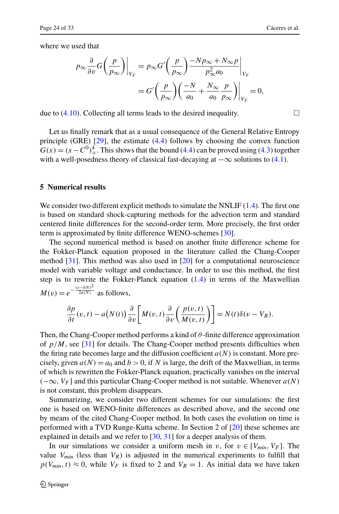where we used that

$$
p_{\infty} \frac{\partial}{\partial v} G\left(\frac{p}{p_{\infty}}\right)\Big|_{V_F} = p_{\infty} G'\left(\frac{p}{p_{\infty}}\right) \frac{-Np_{\infty} + N_{\infty}p}{p_{\infty}^2 a_0}\Big|_{V_F}
$$
  
= 
$$
G'\left(\frac{p}{p_{\infty}}\right) \left(\frac{-N}{a_0} + \frac{N_{\infty}}{a_0} \frac{p}{p_{\infty}}\right)\Big|_{V_F} = 0,
$$

due to  $(4.10)$ . Collecting all terms leads to the desired inequality.

<span id="page-23-0"></span>Let us finally remark that as a usual consequence of the General Relative Entropy principle (GRE) [[29\]](#page-31-22), the estimate ([4.4](#page-19-1)) follows by choosing the convex function  $G(x) = (x - C<sup>0</sup>)<sup>4</sup>$ . This shows that the bound [\(4.4\)](#page-19-1) can be proved using [\(4.3\)](#page-19-2) together with a well-posedness theory of classical fast-decaying at  $-\infty$  solutions to ([4.1](#page-19-3)).

# **5 Numerical results**

We consider two different explicit methods to simulate the NNLIF  $(1.4)$  $(1.4)$ . The first one is based on standard shock-capturing methods for the advection term and standard centered finite differences for the second-order term. More precisely, the first order term is approximated by finite difference WENO-schemes [[30\]](#page-31-23).

The second numerical method is based on another finite difference scheme for the Fokker-Planck equation proposed in the literature called the Chang-Cooper method  $[31]$  $[31]$ . This method was also used in  $[20]$  $[20]$  $[20]$  for a computational neuroscience model with variable voltage and conductance. In order to use this method, the first step is to rewrite the Fokker-Planck equation [\(1.4\)](#page-2-1) in terms of the Maxwellian  $M(v) = e^{-\frac{(v-bN)^2}{2a(N)}}$  as follows,

$$
\frac{\partial p}{\partial t}(v,t) - a(N(t))\frac{\partial}{\partial v}\bigg[M(v,t)\frac{\partial}{\partial v}\bigg(\frac{p(v,t)}{M(v,t)}\bigg)\bigg] = N(t)\delta(v-V_R).
$$

Then, the Chang-Cooper method performs a kind of *θ* -finite difference approximation of  $p/M$ , see [\[31](#page-31-24)] for details. The Chang-Cooper method presents difficulties when the firing rate becomes large and the diffusion coefficient  $a(N)$  is constant. More precisely, given  $a(N) = a_0$  and  $b > 0$ , if N is large, the drift of the Maxwellian, in terms of which is rewritten the Fokker-Planck equation, practically vanishes on the interval *(*−∞*, VF* ] and this particular Chang-Cooper method is not suitable. Whenever *a(N )* is not constant, this problem disappears.

Summarizing, we consider two different schemes for our simulations: the first one is based on WENO-finite differences as described above, and the second one by means of the cited Chang-Cooper method. In both cases the evolution on time is performed with a TVD Runge-Kutta scheme. In Section 2 of [[20\]](#page-31-14) these schemes are explained in details and we refer to [\[30](#page-31-23), [31](#page-31-24)] for a deeper analysis of them.

In our simulations we consider a uniform mesh in *v*, for  $v \in [V_{min}, V_F]$ . The value  $V_{min}$  (less than  $V_R$ ) is adjusted in the numerical experiments to fulfill that  $p(V_{min}, t) \approx 0$ , while  $V_F$  is fixed to 2 and  $V_R = 1$ . As initial data we have taken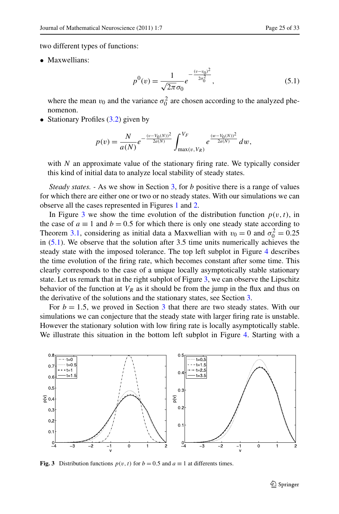two different types of functions:

• Maxwellians:

<span id="page-24-1"></span>
$$
p^{0}(v) = \frac{1}{\sqrt{2\pi}\sigma_0}e^{-\frac{(v-v_0)^2}{2\sigma_0^2}},
$$
\n(5.1)

where the mean  $v_0$  and the variance  $\sigma_0^2$  are chosen according to the analyzed phenomenon.

• Stationary Profiles  $(3.2)$  given by

$$
p(v) = \frac{N}{a(N)}e^{-\frac{(v-V_0(N))^2}{2a(N)}}\int_{\max(v,V_R)}^{V_F}e^{\frac{(w-V_0(N))^2}{2a(N)}}\,dw,
$$

with *N* an approximate value of the stationary firing rate. We typically consider this kind of initial data to analyze local stability of steady states.

*Steady states. -* As we show in Section [3,](#page-10-0) for *b* positive there is a range of values for which there are either one or two or no steady states. With our simulations we can observe all the cases represented in Figures [1](#page-16-0) and [2](#page-18-0).

In Figure [3](#page-24-0) we show the time evolution of the distribution function  $p(v, t)$ , in the case of  $a \equiv 1$  and  $b = 0.5$  for which there is only one steady state according to Theorem [3.1,](#page-12-2) considering as initial data a Maxwellian with  $v_0 = 0$  and  $\sigma_0^2 = 0.25$ in  $(5.1)$ . We observe that the solution after 3.5 time units numerically achieves the steady state with the imposed tolerance. The top left subplot in Figure [4](#page-25-0) describes the time evolution of the firing rate, which becomes constant after some time. This clearly corresponds to the case of a unique locally asymptotically stable stationary state. Let us remark that in the right subplot of Figure [3](#page-24-0), we can observe the Lipschitz behavior of the function at  $V_R$  as it should be from the jump in the flux and thus on the derivative of the solutions and the stationary states, see Section [3.](#page-10-0)

For  $b = 1.5$ , we proved in Section [3](#page-10-0) that there are two steady states. With our simulations we can conjecture that the steady state with larger firing rate is unstable. However the stationary solution with low firing rate is locally asymptotically stable. We illustrate this situation in the bottom left subplot in Figure [4.](#page-25-0) Starting with a

<span id="page-24-0"></span>

**Fig. 3** Distribution functions  $p(v, t)$  for  $b = 0.5$  and  $a \equiv 1$  at differents times.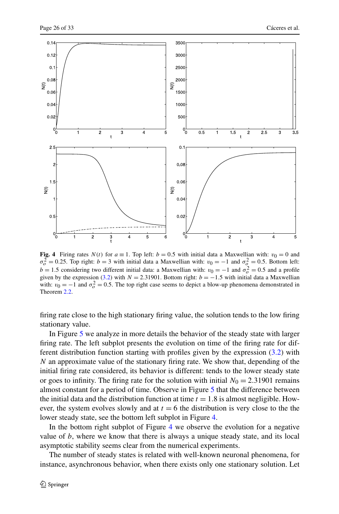

<span id="page-25-0"></span>**Fig. 4** Firing rates  $N(t)$  for  $a \equiv 1$ . Top left:  $b = 0.5$  with initial data a Maxwellian with:  $v_0 = 0$  and  $\sigma_o^2 = 0.25$ . Top right: *b* = 3 with initial data a Maxwellian with: *v*<sub>0</sub> = −1 and  $\sigma_o^2 = 0.5$ . Bottom left:  $b = 1.5$  considering two different initial data: a Maxwellian with:  $v_0 = -1$  and  $\sigma_o^2 = 0.5$  and a profile given by the expression [\(3.2](#page-11-0)) with  $N = 2.31901$ . Bottom right:  $b = -1.5$  with initial data a Maxwellian with:  $v_0 = -1$  and  $\sigma_o^2 = 0.5$ . The top right case seems to depict a blow-up phenomena demonstrated in Theorem [2.2.](#page-5-4)

firing rate close to the high stationary firing value, the solution tends to the low firing stationary value.

In Figure [5](#page-26-0) we analyze in more details the behavior of the steady state with larger firing rate. The left subplot presents the evolution on time of the firing rate for different distribution function starting with profiles given by the expression ([3.2](#page-11-0)) with *N* an approximate value of the stationary firing rate. We show that, depending of the initial firing rate considered, its behavior is different: tends to the lower steady state or goes to infinity. The firing rate for the solution with initial  $N_0 = 2.31901$  remains almost constant for a period of time. Observe in Figure [5](#page-26-0) that the difference between the initial data and the distribution function at time  $t = 1.8$  is almost negligible. However, the system evolves slowly and at  $t = 6$  the distribution is very close to the the lower steady state, see the bottom left subplot in Figure [4.](#page-25-0)

In the bottom right subplot of Figure [4](#page-25-0) we observe the evolution for a negative value of *b*, where we know that there is always a unique steady state, and its local asymptotic stability seems clear from the numerical experiments.

The number of steady states is related with well-known neuronal phenomena, for instance, asynchronous behavior, when there exists only one stationary solution. Let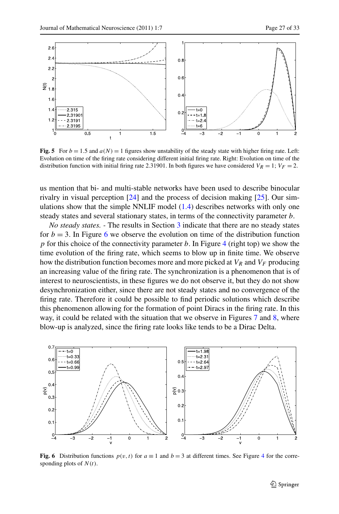<span id="page-26-0"></span>

**Fig. 5** For  $b = 1.5$  and  $a(N) = 1$  figures show unstability of the steady state with higher firing rate. Left: Evolution on time of the firing rate considering different initial firing rate. Right: Evolution on time of the distribution function with initial firing rate 2.31901. In both figures we have considered  $V_R = 1$ ;  $V_F = 2$ .

us mention that bi- and multi-stable networks have been used to describe binocular rivalry in visual perception  $[24]$  $[24]$  and the process of decision making  $[25]$  $[25]$ . Our simulations show that the simple NNLIF model  $(1.4)$  describes networks with only one steady states and several stationary states, in terms of the connectivity parameter *b*.

*No steady states. -* The results in Section [3](#page-10-0) indicate that there are no steady states for  $b = 3$ . In Figure [6](#page-26-1) we observe the evolution on time of the distribution function *p* for this choice of the connectivity parameter *b*. In Figure [4](#page-25-0) (right top) we show the time evolution of the firing rate, which seems to blow up in finite time. We observe how the distribution function becomes more and more picked at  $V_R$  and  $V_F$  producing an increasing value of the firing rate. The synchronization is a phenomenon that is of interest to neuroscientists, in these figures we do not observe it, but they do not show desynchronization either, since there are not steady states and no convergence of the firing rate. Therefore it could be possible to find periodic solutions which describe this phenomenon allowing for the formation of point Diracs in the firing rate. In this way, it could be related with the situation that we observe in Figures [7](#page-27-0) and [8,](#page-27-1) where blow-up is analyzed, since the firing rate looks like tends to be a Dirac Delta.

<span id="page-26-1"></span>

**Fig. 6** Distribution functions  $p(v, t)$  for  $a \equiv 1$  and  $b = 3$  at different times. See Figure [4](#page-25-0) for the corresponding plots of *N (t)*.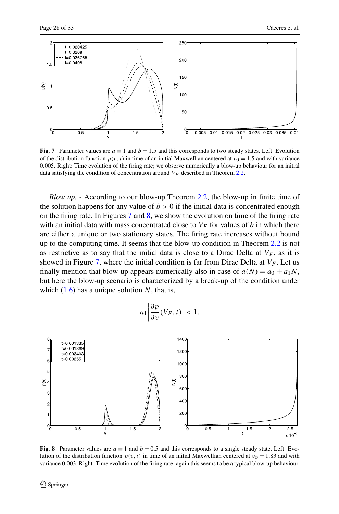

<span id="page-27-0"></span>**Fig. 7** Parameter values are  $a \equiv 1$  and  $b = 1.5$  and this corresponds to two steady states. Left: Evolution of the distribution function  $p(v, t)$  in time of an initial Maxwellian centered at  $v_0 = 1.5$  and with variance 0*.*005. Right: Time evolution of the firing rate; we observe numerically a blow-up behaviour for an initial data satisfying the condition of concentration around  $V_F$  described in Theorem [2.2](#page-5-4).

*Blow up. -* According to our blow-up Theorem [2.2,](#page-5-4) the blow-up in finite time of the solution happens for any value of  $b > 0$  if the initial data is concentrated enough on the firing rate. In Figures [7](#page-27-0) and [8](#page-27-1), we show the evolution on time of the firing rate with an initial data with mass concentrated close to  $V_F$  for values of *b* in which there are either a unique or two stationary states. The firing rate increases without bound up to the computing time. It seems that the blow-up condition in Theorem [2.2](#page-5-4) is not as restrictive as to say that the initial data is close to a Dirac Delta at  $V_F$ , as it is showed in Figure [7,](#page-27-0) where the initial condition is far from Dirac Delta at  $V_F$ . Let us finally mention that blow-up appears numerically also in case of  $a(N) = a_0 + a_1N$ , but here the blow-up scenario is characterized by a break-up of the condition under which  $(1.6)$  $(1.6)$  $(1.6)$  has a unique solution N, that is,

$$
a_1 \left| \frac{\partial p}{\partial v}(V_F, t) \right| < 1.
$$

<span id="page-27-1"></span>

**Fig. 8** Parameter values are  $a \equiv 1$  and  $b = 0.5$  and this corresponds to a single steady state. Left: Evolution of the distribution function  $p(v, t)$  in time of an initial Maxwellian centered at  $v_0 = 1.83$  and with variance 0*.*003. Right: Time evolution of the firing rate; again this seems to be a typical blow-up behaviour.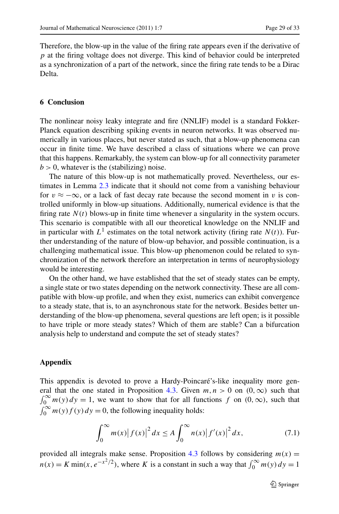Therefore, the blow-up in the value of the firing rate appears even if the derivative of *p* at the firing voltage does not diverge. This kind of behavior could be interpreted as a synchronization of a part of the network, since the firing rate tends to be a Dirac Delta.

## **6 Conclusion**

The nonlinear noisy leaky integrate and fire (NNLIF) model is a standard Fokker-Planck equation describing spiking events in neuron networks. It was observed numerically in various places, but never stated as such, that a blow-up phenomena can occur in finite time. We have described a class of situations where we can prove that this happens. Remarkably, the system can blow-up for all connectivity parameter  $b > 0$ , whatever is the (stabilizing) noise.

The nature of this blow-up is not mathematically proved. Nevertheless, our estimates in Lemma [2.3](#page-7-0) indicate that it should not come from a vanishing behaviour for  $v \approx -\infty$ , or a lack of fast decay rate because the second moment in *v* is controlled uniformly in blow-up situations. Additionally, numerical evidence is that the firing rate  $N(t)$  blows-up in finite time whenever a singularity in the system occurs. This scenario is compatible with all our theoretical knowledge on the NNLIF and in particular with  $L^1$  estimates on the total network activity (firing rate  $N(t)$ ). Further understanding of the nature of blow-up behavior, and possible continuation, is a challenging mathematical issue. This blow-up phenomenon could be related to synchronization of the network therefore an interpretation in terms of neurophysiology would be interesting.

<span id="page-28-0"></span>On the other hand, we have established that the set of steady states can be empty, a single state or two states depending on the network connectivity. These are all compatible with blow-up profile, and when they exist, numerics can exhibit convergence to a steady state, that is, to an asynchronous state for the network. Besides better understanding of the blow-up phenomena, several questions are left open; is it possible to have triple or more steady states? Which of them are stable? Can a bifurcation analysis help to understand and compute the set of steady states?

#### **Appendix**

This appendix is devoted to prove a Hardy-Poincaré's-like inequality more gen-eral that the one stated in Proposition [4.3](#page-21-0). Given  $m, n > 0$  on  $(0, \infty)$  such that  $\int_0^\infty m(y) dy = 1$ , we want to show that for all functions f on  $(0, \infty)$ , such that  $\int_0^\infty m(y) f(y) dy = 0$ , the following inequality holds:

<span id="page-28-1"></span>
$$
\int_0^{\infty} m(x) |f(x)|^2 dx \le A \int_0^{\infty} n(x) |f'(x)|^2 dx,
$$
 (7.1)

provided all integrals make sense. Proposition [4.3](#page-21-0) follows by considering  $m(x)$  =  $n(x) = K \min(x, e^{-x^2/2})$ , where *K* is a constant in such a way that  $\int_0^\infty m(y) dy = 1$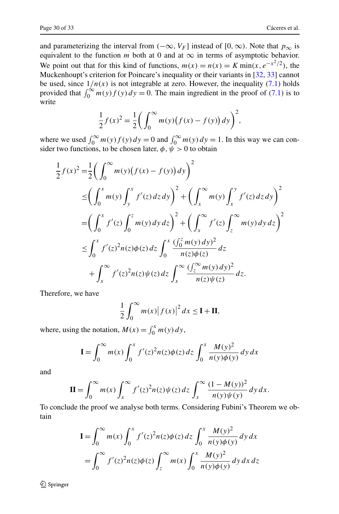and parameterizing the interval from  $(-\infty, V_F]$  instead of [0,  $\infty$ ). Note that  $p_{\infty}$  is equivalent to the function  $m$  both at 0 and at  $\infty$  in terms of asymptotic behavior. We point out that for this kind of functions,  $m(x) = n(x) = K \min(x, e^{-x^2/2})$ , the Muckenhoupt's criterion for Poincare's inequality or their variants in [\[32](#page-32-0), [33](#page-32-1)] cannot be used, since  $1/n(x)$  is not integrable at zero. However, the inequality  $(7.1)$  holds provided that  $\int_0^\infty m(y) f(y) dy = 0$ . The main ingredient in the proof of [\(7.1\)](#page-28-1) is to write

$$
\frac{1}{2}f(x)^{2} = \frac{1}{2}\left(\int_{0}^{\infty} m(y)\big(f(x) - f(y)\big)dy\right)^{2},
$$

where we used  $\int_0^\infty m(y) f(y) dy = 0$  and  $\int_0^\infty m(y) dy = 1$ . In this way we can consider two functions, to be chosen later,  $\phi$ ,  $\psi > 0$  to obtain

$$
\frac{1}{2}f(x)^{2} = \frac{1}{2}\left(\int_{0}^{\infty} m(y)\left(f(x) - f(y)\right)dy\right)^{2}
$$
\n
$$
\leq \left(\int_{0}^{x} m(y)\int_{y}^{x} f'(z)dz\,dy\right)^{2} + \left(\int_{x}^{\infty} m(y)\int_{x}^{y} f'(z)dz\,dy\right)^{2}
$$
\n
$$
= \left(\int_{0}^{x} f'(z)\int_{0}^{z} m(y)dy\,dz\right)^{2} + \left(\int_{x}^{\infty} f'(z)\int_{z}^{\infty} m(y)dy\,dz\right)^{2}
$$
\n
$$
\leq \int_{0}^{x} f'(z)^{2}n(z)\phi(z)\,dz\int_{0}^{x} \frac{\left(\int_{0}^{z} m(y)\,dy\right)^{2}}{n(z)\phi(z)}\,dz
$$
\n
$$
+ \int_{x}^{\infty} f'(z)^{2}n(z)\psi(z)\,dz\int_{x}^{\infty} \frac{\left(\int_{z}^{\infty} m(y)\,dy\right)^{2}}{n(z)\psi(z)}\,dz.
$$

Therefore, we have

$$
\frac{1}{2} \int_0^\infty m(x) |f(x)|^2 dx \le \mathbf{I} + \mathbf{II},
$$

where, using the notation,  $M(x) = \int_0^x m(y) dy$ ,

$$
\mathbf{I} = \int_0^\infty m(x) \int_0^x f'(z)^2 n(z) \phi(z) \, dz \int_0^x \frac{M(y)^2}{n(y) \phi(y)} \, dy \, dx
$$

and

$$
\mathbf{II} = \int_0^\infty m(x) \int_x^\infty f'(z)^2 n(z) \psi(z) dz \int_x^\infty \frac{(1 - M(y))^2}{n(y) \psi(y)} dy dx.
$$

To conclude the proof we analyse both terms. Considering Fubini's Theorem we obtain

$$
\mathbf{I} = \int_0^\infty m(x) \int_0^x f'(z)^2 n(z) \phi(z) dz \int_0^x \frac{M(y)^2}{n(y) \phi(y)} dy dx
$$
  
= 
$$
\int_0^\infty f'(z)^2 n(z) \phi(z) \int_z^\infty m(x) \int_0^x \frac{M(y)^2}{n(y) \phi(y)} dy dx dz
$$

 $\hat{Z}$  Springer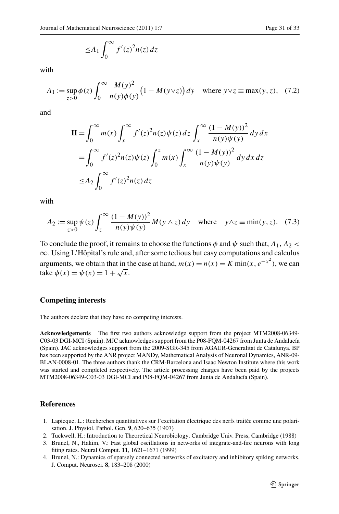$$
\leq A_1 \int_0^\infty f'(z)^2 n(z) \, dz
$$

with

$$
A_1 := \sup_{z>0} \phi(z) \int_0^\infty \frac{M(y)^2}{n(y)\phi(y)} \left(1 - M(y \vee z)\right) dy \quad \text{where } y \vee z \equiv \max(y, z), \tag{7.2}
$$

and

$$
\mathbf{II} = \int_0^\infty m(x) \int_x^\infty f'(z)^2 n(z) \psi(z) dz \int_x^\infty \frac{(1 - M(y))^2}{n(y) \psi(y)} dy dx
$$
  
= 
$$
\int_0^\infty f'(z)^2 n(z) \psi(z) \int_0^z m(x) \int_x^\infty \frac{(1 - M(y))^2}{n(y) \psi(y)} dy dx dz
$$
  

$$
\leq A_2 \int_0^\infty f'(z)^2 n(z) dz
$$

with

$$
A_2 := \sup_{z>0} \psi(z) \int_z^{\infty} \frac{(1 - M(y))^2}{n(y)\psi(y)} M(y \wedge z) dy \quad \text{where} \quad y \wedge z = \min(y, z). \tag{7.3}
$$

To conclude the proof, it remains to choose the functions  $\phi$  and  $\psi$  such that,  $A_1, A_2$ ∞. Using L'Hôpital's rule and, after some tedious but easy computations and calculus arguments, we obtain that in the case at hand,  $m(x) = n(x) = K \min(x, e^{-x^2})$ , we can take  $\phi(x) = \psi(x) = 1 + \sqrt{x}$ .

## **Competing interests**

The authors declare that they have no competing interests.

<span id="page-30-1"></span><span id="page-30-0"></span>**Acknowledgements** The first two authors acknowledge support from the project MTM2008-06349- C03-03 DGI-MCI (Spain). MJC acknowledges support from the P08-FQM-04267 from Junta de Andalucía (Spain). JAC acknowledges support from the 2009-SGR-345 from AGAUR-Generalitat de Catalunya. BP has been supported by the ANR project MANDy, Mathematical Analysis of Neuronal Dynamics, ANR-09- BLAN-0008-01. The three authors thank the CRM-Barcelona and Isaac Newton Institute where this work was started and completed respectively. The article processing charges have been paid by the projects MTM2008-06349-C03-03 DGI-MCI and P08-FQM-04267 from Junta de Andalucía (Spain).

#### <span id="page-30-3"></span><span id="page-30-2"></span>**References**

- 1. Lapicque, L.: Recherches quantitatives sur l'excitation électrique des nerfs traitée comme une polarisation. J. Physiol. Pathol. Gen. **9**, 620–635 (1907)
- 2. Tuckwell, H.: Introduction to Theoretical Neurobiology. Cambridge Univ. Press, Cambridge (1988)
- 3. Brunel, N., Hakim, V.: Fast global oscillations in networks of integrate-and-fire neurons with long fiting rates. Neural Comput. **11**, 1621–1671 (1999)
- 4. Brunel, N.: Dynamics of sparsely connected networks of excitatory and inhibitory spiking networks. J. Comput. Neurosci. **8**, 183–208 (2000)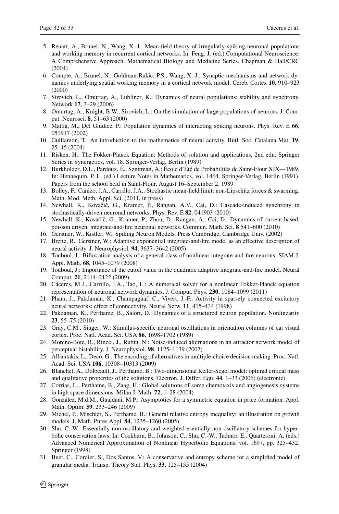- <span id="page-31-3"></span><span id="page-31-2"></span><span id="page-31-1"></span><span id="page-31-0"></span>5. Renart, A., Brunel, N., Wang, X.-J.: Mean-field theory of irregularly spiking neuronal populations and working memory in recurrent cortical networks. In: Feng, J. (ed.) Computational Neuroscience: A Comprehensive Approach. Mathematical Biology and Medicine Series. Chapman & Hall/CRC (2004)
- <span id="page-31-5"></span><span id="page-31-4"></span>6. Compte, A., Brunel, N., Goldman-Rakic, P.S., Wang, X.-J.: Synaptic mechanisms and network dynamics underlying spatial working memory in a cortical network model. Cereb. Cortex **10**, 910–923 (2000)
- <span id="page-31-6"></span>7. Sirovich, L., Omurtag, A., Lubliner, K.: Dynamics of neural populations: stability and synchrony. Network **17**, 3–29 (2006)
- 8. Omurtag, A., Knight, B.W., Sirovich, L.: On the simulation of large populations of neurons. J. Comput. Neurosci. **8**, 51–63 (2000)
- <span id="page-31-7"></span>9. Mattia, M., Del Giudice, P.: Population dynamics of interacting spiking neurons. Phys. Rev. E **66**, 051917 (2002)
- <span id="page-31-8"></span>10. Guillamon, T.: An introduction to the mathematics of neural activity. Butl. Soc. Catalana Mat. **19**, 25–45 (2004)
- <span id="page-31-9"></span>11. Risken, H.: The Fokker-Planck Equation: Methods of solution and applications, 2nd edn. Springer Series in Synergetics, vol. 18. Springer-Verlag, Berlin (1989)
- <span id="page-31-11"></span><span id="page-31-10"></span>12. Burkholder, D.L., Pardoux, É., Sznitman, A.: École d'Été de Probabilités de Saint-Flour XIX—1989. In: Hennequin, P. L. (ed.) Lecture Notes in Mathematics, vol. 1464. Springer-Verlag, Berlin (1991). Papers from the school held in Saint-Flour, August 16–September 2, 1989
- <span id="page-31-12"></span>13. Bolley, F., Cañizo, J.A., Carrillo, J.A.: Stochastic mean-field limit: non-Lipschitz forces & swarming. Math. Mod. Meth. Appl. Sci. (2011, in press)
- <span id="page-31-13"></span>14. Newhall, K., Kovačič, G., Kramer, P., Rangan, A.V., Cai, D.: Cascade-induced synchrony in stochastically-driven neuronal networks. Phys. Rev. E **82**, 041903 (2010)
- <span id="page-31-15"></span><span id="page-31-14"></span>15. Newhall, K., Kovačič, G., Kramer, P., Zhou, D., Rangan, A., Cai, D.: Dynamics of current-based, poisson driven, integrate-and-fire neuronal networks. Commun. Math. Sci. **8** 541–600 (2010)
- 16. Gerstner, W., Kistler, W.: Spiking Neuron Models. Press Cambridge, Cambridge Univ. (2002)
- <span id="page-31-16"></span>17. Brette, R., Gerstner, W.: Adaptive exponential integrate-and-fire model as an effective description of neural activity. J. Neurophysiol. **94**, 3637–3642 (2005)
- <span id="page-31-17"></span>18. Touboul, J.: Bifurcation analysis of a general class of nonlinear integrate-and-fire neurons. SIAM J. Appl. Math. **68**, 1045–1079 (2008)
- <span id="page-31-25"></span>19. Touboul, J.: Importance of the cutoff value in the quadratic adaptive integrate-and-fire model. Neural Comput. **21**, 2114–2122 (2009)
- <span id="page-31-18"></span>20. Cáceres, M.J., Carrillo, J.A., Tao, L.: A numerical solver for a nonlinear Fokker-Planck equation representation of neuronal network dynamics. J. Comput. Phys. **230**, 1084–1099 (2011)
- <span id="page-31-19"></span>21. Pham, J., Pakdaman, K., Champaguaf, C., Vivert, J.-F.: Activity in sparsely connected excitatory neural networks: effect of connectivity. Neural Netw. **11**, 415–434 (1998)
- <span id="page-31-20"></span>22. Pakdaman, K., Perthame, B., Salort, D.: Dynamics of a structured neuron population. Nonlinearity **23**, 55–75 (2010)
- <span id="page-31-21"></span>23. Gray, C.M., Singer, W.: Stimulus-specific neuronal oscillations in orientation columns of cat visual cortex. Proc. Natl. Acad. Sci. USA **86**, 1698–1702 (1989)
- <span id="page-31-22"></span>24. Moreno-Bote, R., Rinzel, J., Rubin, N.: Noise-induced alternations in an attractor network model of perceptual bistability. J. Neurophysiol. **98**, 1125–1139 (2007)
- <span id="page-31-23"></span>25. Albantakis, L., Deco, G.: The encoding of alternatives in multiple-choice decision making. Proc. Natl. Acad. Sci. USA **106**, 10308–10313 (2009)
- 26. Blanchet, A., Dolbeault, J., Perthame, B.: Two-dimensional Keller-Segel model: optimal critical mass and qualitative properties of the solutions. Electron. J. Differ. Equ. **44**, 1–33 (2006) (electronic)
- <span id="page-31-24"></span>27. Corrias, L., Perthame, B., Zaag, H.: Global solutions of some chemotaxis and angiogenesis systems in high space dimensions. Milan J. Math. **72**, 1–28 (2004)
- 28. González, M.d.M., Gualdani, M.P.: Asymptotics for a symmetric equation in price formation. Appl. Math. Optim. **59**, 233–246 (2009)
- 29. Michel, P., Mischler, S., Perthame, B.: General relative entropy inequality: an illustration on growth models. J. Math. Pures Appl. **84**, 1235–1260 (2005)
- 30. Shu, C.-W.: Essentially non-oscillatory and weighted esentially non-oscillatory schemes for hyperbolic conservation laws. In: Cockburn, B., Johnson, C., Shu, C.-W., Tadmor, E., Quarteroni, A. (eds.) Advanced Numerical Approximation of Nonlinear Hyperbolic Equations, vol. 1697, pp. 325–432. Springer (1998)
- 31. Buet, C., Cordier, S., Dos Santos, V.: A conservative and entropy scheme for a simplified model of granular media. Transp. Theory Stat. Phys. **33**, 125–155 (2004)